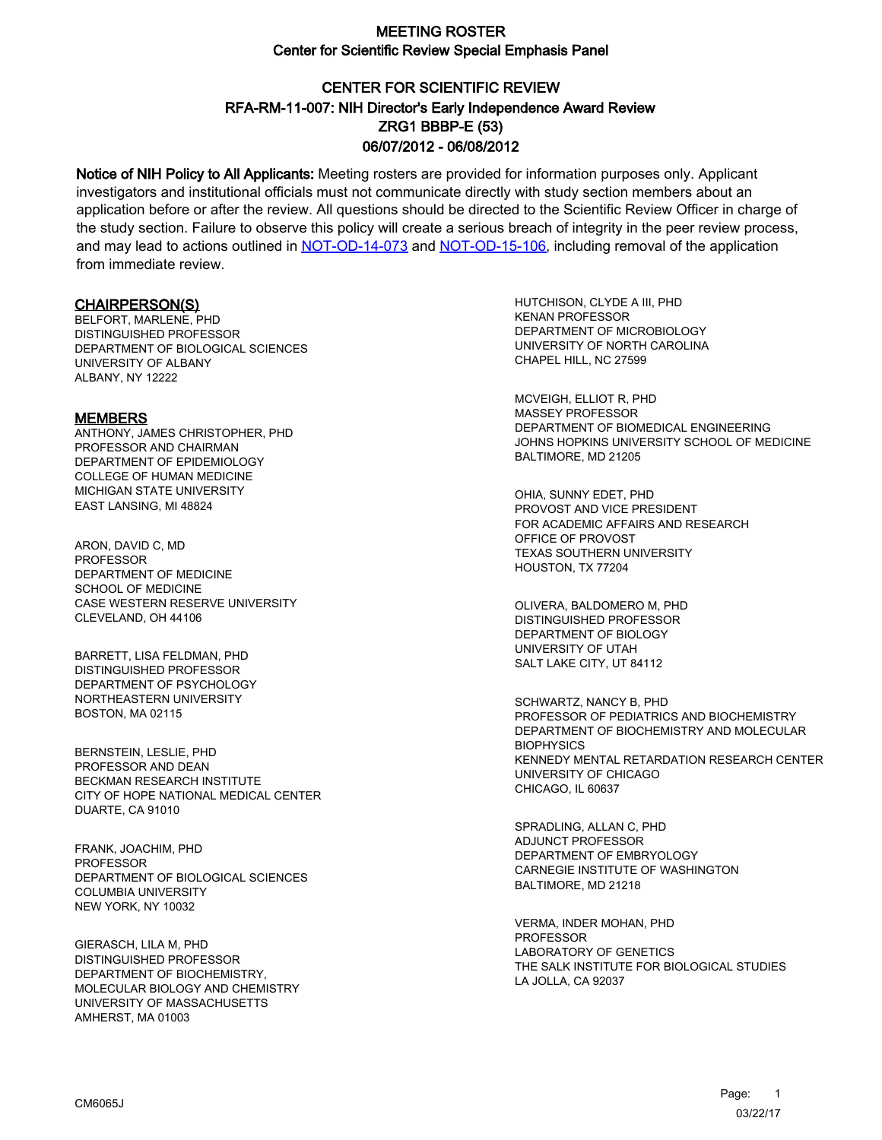# CENTER FOR SCIENTIFIC REVIEW ZRG1 BBBP-E (53) 06/07/2012 - 06/08/2012 RFA-RM-11-007: NIH Director's Early Independence Award Review

Notice of NIH Policy to All Applicants: Meeting rosters are provided for information purposes only. Applicant investigators and institutional officials must not communicate directly with study section members about an application before or after the review. All questions should be directed to the Scientific Review Officer in charge of the study section. Failure to observe this policy will create a serious breach of integrity in the peer review process, and may lead to actions outlined in [NOT-OD-14-073](https://grants.nih.gov/grants/guide/notice-files/NOT-OD-14-073.html) and [NOT-OD-15-106,](https://grants.nih.gov/grants/guide/notice-files/NOT-OD-15-106.html) including removal of the application from immediate review.

#### CHAIRPERSON(S)

BELFORT, MARLENE, PHD DISTINGUISHED PROFESSOR DEPARTMENT OF BIOLOGICAL SCIENCES UNIVERSITY OF ALBANY AI BANY, NY 12222

#### **MEMBERS**

ANTHONY, JAMES CHRISTOPHER, PHD PROFESSOR AND CHAIRMAN DEPARTMENT OF EPIDEMIOLOGY COLLEGE OF HUMAN MEDICINE MICHIGAN STATE UNIVERSITY EAST LANSING, MI 48824

ARON, DAVID C, MD PROFESSOR DEPARTMENT OF MEDICINE SCHOOL OF MEDICINE CASE WESTERN RESERVE UNIVERSITY CLEVELAND, OH 44106

BARRETT, LISA FELDMAN, PHD DISTINGUISHED PROFESSOR DEPARTMENT OF PSYCHOLOGY NORTHEASTERN UNIVERSITY BOSTON, MA 02115

BERNSTEIN, LESLIE, PHD PROFESSOR AND DEAN BECKMAN RESEARCH INSTITUTE CITY OF HOPE NATIONAL MEDICAL CENTER DUARTE, CA 91010

FRANK, JOACHIM, PHD **PROFESSOR** DEPARTMENT OF BIOLOGICAL SCIENCES COLUMBIA UNIVERSITY NEW YORK, NY 10032

GIERASCH, LILA M, PHD DISTINGUISHED PROFESSOR DEPARTMENT OF BIOCHEMISTRY, MOLECULAR BIOLOGY AND CHEMISTRY UNIVERSITY OF MASSACHUSETTS AMHERST, MA 01003

HUTCHISON, CLYDE A III, PHD KENAN PROFESSOR DEPARTMENT OF MICROBIOLOGY UNIVERSITY OF NORTH CAROLINA CHAPEL HILL, NC 27599

MCVEIGH, ELLIOT R, PHD MASSEY PROFESSOR DEPARTMENT OF BIOMEDICAL ENGINEERING JOHNS HOPKINS UNIVERSITY SCHOOL OF MEDICINE BALTIMORE, MD 21205

OHIA, SUNNY EDET, PHD PROVOST AND VICE PRESIDENT FOR ACADEMIC AFFAIRS AND RESEARCH OFFICE OF PROVOST TEXAS SOUTHERN UNIVERSITY HOUSTON, TX 77204

OLIVERA, BALDOMERO M, PHD DISTINGUISHED PROFESSOR DEPARTMENT OF BIOLOGY UNIVERSITY OF UTAH SALT LAKE CITY, UT 84112

SCHWARTZ, NANCY B, PHD PROFESSOR OF PEDIATRICS AND BIOCHEMISTRY DEPARTMENT OF BIOCHEMISTRY AND MOLECULAR **BIOPHYSICS** KENNEDY MENTAL RETARDATION RESEARCH CENTER UNIVERSITY OF CHICAGO CHICAGO, IL 60637

SPRADLING, ALLAN C, PHD ADJUNCT PROFESSOR DEPARTMENT OF EMBRYOLOGY CARNEGIE INSTITUTE OF WASHINGTON BALTIMORE, MD 21218

VERMA, INDER MOHAN, PHD **PROFESSOR** LABORATORY OF GENETICS THE SALK INSTITUTE FOR BIOLOGICAL STUDIES LA JOLLA, CA 92037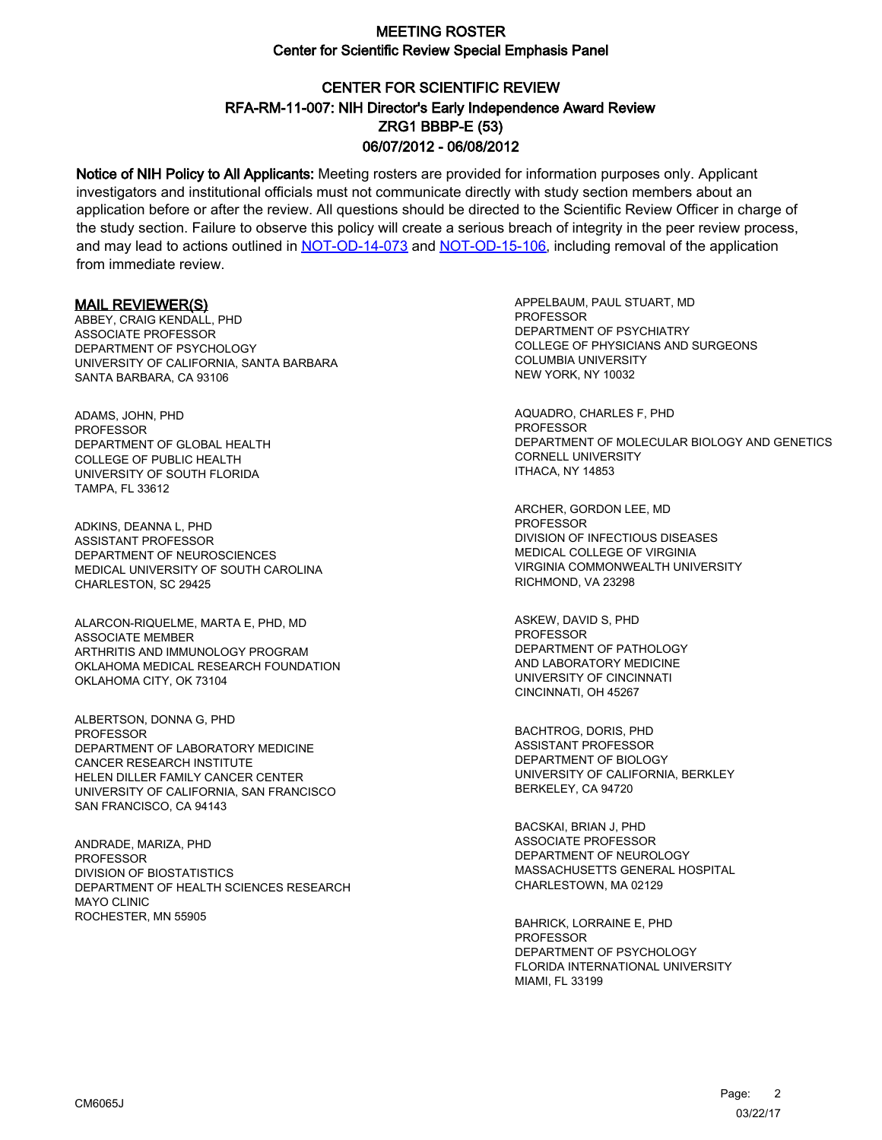# CENTER FOR SCIENTIFIC REVIEW ZRG1 BBBP-E (53) 06/07/2012 - 06/08/2012 RFA-RM-11-007: NIH Director's Early Independence Award Review

Notice of NIH Policy to All Applicants: Meeting rosters are provided for information purposes only. Applicant investigators and institutional officials must not communicate directly with study section members about an application before or after the review. All questions should be directed to the Scientific Review Officer in charge of the study section. Failure to observe this policy will create a serious breach of integrity in the peer review process, and may lead to actions outlined in [NOT-OD-14-073](https://grants.nih.gov/grants/guide/notice-files/NOT-OD-14-073.html) and [NOT-OD-15-106,](https://grants.nih.gov/grants/guide/notice-files/NOT-OD-15-106.html) including removal of the application from immediate review.

#### MAIL REVIEWER(S)

ABBEY, CRAIG KENDALL, PHD ASSOCIATE PROFESSOR DEPARTMENT OF PSYCHOLOGY UNIVERSITY OF CALIFORNIA, SANTA BARBARA SANTA BARBARA, CA 93106

ADAMS, JOHN, PHD PROFESSOR DEPARTMENT OF GLOBAL HEALTH COLLEGE OF PUBLIC HEALTH UNIVERSITY OF SOUTH FLORIDA TAMPA, FL 33612

ADKINS, DEANNA L, PHD ASSISTANT PROFESSOR DEPARTMENT OF NEUROSCIENCES MEDICAL UNIVERSITY OF SOUTH CAROLINA CHARLESTON, SC 29425

ALARCON-RIQUELME, MARTA E, PHD, MD ASSOCIATE MEMBER ARTHRITIS AND IMMUNOLOGY PROGRAM OKLAHOMA MEDICAL RESEARCH FOUNDATION OKLAHOMA CITY, OK 73104

ALBERTSON, DONNA G, PHD **PROFESSOR** DEPARTMENT OF LABORATORY MEDICINE CANCER RESEARCH INSTITUTE HELEN DILLER FAMILY CANCER CENTER UNIVERSITY OF CALIFORNIA, SAN FRANCISCO SAN FRANCISCO, CA 94143

ANDRADE, MARIZA, PHD PROFESSOR DIVISION OF BIOSTATISTICS DEPARTMENT OF HEALTH SCIENCES RESEARCH MAYO CLINIC ROCHESTER, MN 55905

APPELBAUM, PAUL STUART, MD **PROFESSOR** DEPARTMENT OF PSYCHIATRY COLLEGE OF PHYSICIANS AND SURGEONS COLUMBIA UNIVERSITY NEW YORK, NY 10032

AQUADRO, CHARLES F, PHD PROFESSOR DEPARTMENT OF MOLECULAR BIOLOGY AND GENETICS CORNELL UNIVERSITY ITHACA, NY 14853

ARCHER, GORDON LEE, MD PROFESSOR DIVISION OF INFECTIOUS DISEASES MEDICAL COLLEGE OF VIRGINIA VIRGINIA COMMONWEALTH UNIVERSITY RICHMOND, VA 23298

ASKEW, DAVID S, PHD PROFESSOR DEPARTMENT OF PATHOLOGY AND LABORATORY MEDICINE UNIVERSITY OF CINCINNATI CINCINNATI, OH 45267

BACHTROG, DORIS, PHD ASSISTANT PROFESSOR DEPARTMENT OF BIOLOGY UNIVERSITY OF CALIFORNIA, BERKLEY BERKELEY, CA 94720

BACSKAI, BRIAN J, PHD ASSOCIATE PROFESSOR DEPARTMENT OF NEUROLOGY MASSACHUSETTS GENERAL HOSPITAL CHARLESTOWN, MA 02129

BAHRICK, LORRAINE E, PHD **PROFESSOR** DEPARTMENT OF PSYCHOLOGY FLORIDA INTERNATIONAL UNIVERSITY MIAMI, FL 33199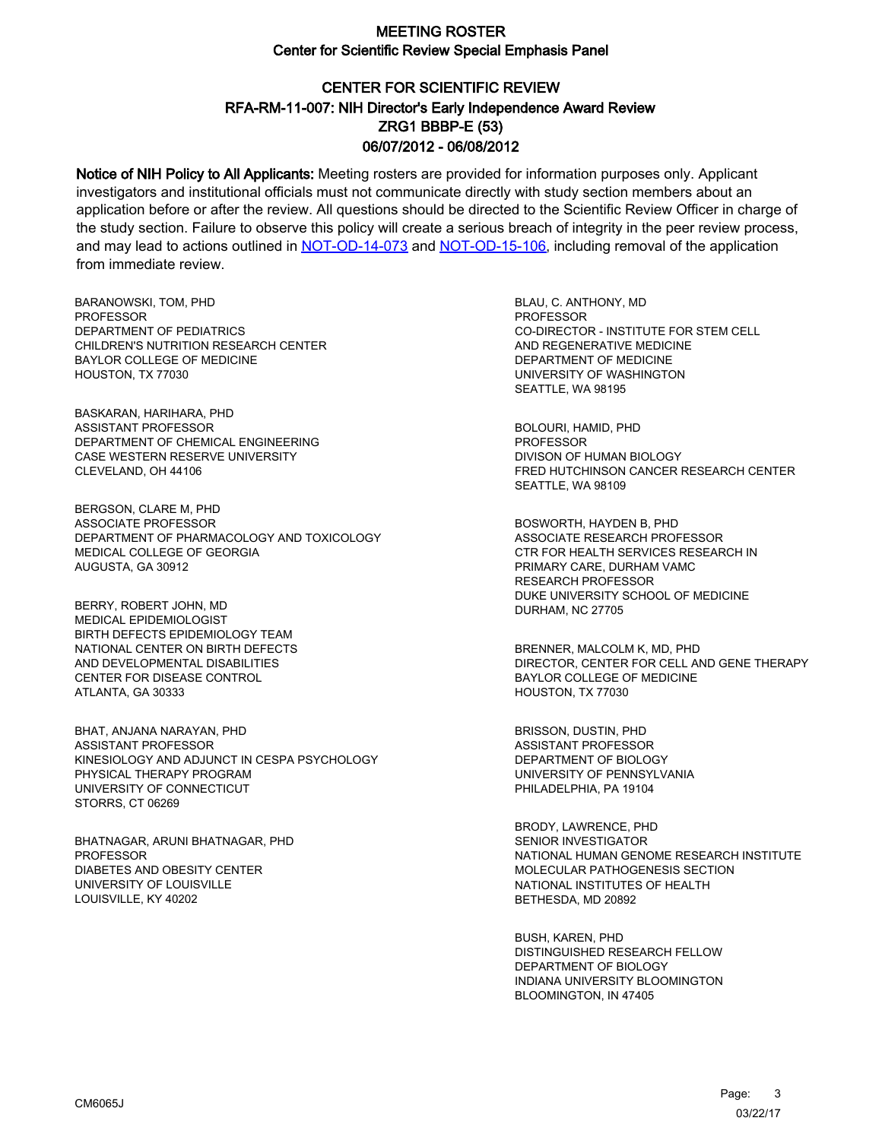# CENTER FOR SCIENTIFIC REVIEW ZRG1 BBBP-E (53) 06/07/2012 - 06/08/2012 RFA-RM-11-007: NIH Director's Early Independence Award Review

Notice of NIH Policy to All Applicants: Meeting rosters are provided for information purposes only. Applicant investigators and institutional officials must not communicate directly with study section members about an application before or after the review. All questions should be directed to the Scientific Review Officer in charge of the study section. Failure to observe this policy will create a serious breach of integrity in the peer review process, and may lead to actions outlined in [NOT-OD-14-073](https://grants.nih.gov/grants/guide/notice-files/NOT-OD-14-073.html) and [NOT-OD-15-106,](https://grants.nih.gov/grants/guide/notice-files/NOT-OD-15-106.html) including removal of the application from immediate review.

BARANOWSKI, TOM, PHD **PROFESSOR** DEPARTMENT OF PEDIATRICS CHILDREN'S NUTRITION RESEARCH CENTER BAYLOR COLLEGE OF MEDICINE HOUSTON, TX 77030

BASKARAN, HARIHARA, PHD ASSISTANT PROFESSOR DEPARTMENT OF CHEMICAL ENGINEERING CASE WESTERN RESERVE UNIVERSITY CLEVELAND, OH 44106

BERGSON, CLARE M, PHD ASSOCIATE PROFESSOR DEPARTMENT OF PHARMACOLOGY AND TOXICOLOGY MEDICAL COLLEGE OF GEORGIA AUGUSTA, GA 30912

BERRY, ROBERT JOHN, MD MEDICAL EPIDEMIOLOGIST BIRTH DEFECTS EPIDEMIOLOGY TEAM NATIONAL CENTER ON BIRTH DEFECTS AND DEVELOPMENTAL DISABILITIES CENTER FOR DISEASE CONTROL ATLANTA, GA 30333

BHAT, ANJANA NARAYAN, PHD ASSISTANT PROFESSOR KINESIOLOGY AND ADJUNCT IN CESPA PSYCHOLOGY PHYSICAL THERAPY PROGRAM UNIVERSITY OF CONNECTICUT STORRS, CT 06269

BHATNAGAR, ARUNI BHATNAGAR, PHD PROFESSOR DIABETES AND OBESITY CENTER UNIVERSITY OF LOUISVILLE LOUISVILLE, KY 40202

BLAU, C. ANTHONY, MD PROFESSOR CO-DIRECTOR - INSTITUTE FOR STEM CELL AND REGENERATIVE MEDICINE DEPARTMENT OF MEDICINE UNIVERSITY OF WASHINGTON SEATTLE, WA 98195

BOLOURI, HAMID, PHD PROFESSOR DIVISON OF HUMAN BIOLOGY FRED HUTCHINSON CANCER RESEARCH CENTER SEATTLE, WA 98109

BOSWORTH, HAYDEN B, PHD ASSOCIATE RESEARCH PROFESSOR CTR FOR HEALTH SERVICES RESEARCH IN PRIMARY CARE, DURHAM VAMC RESEARCH PROFESSOR DUKE UNIVERSITY SCHOOL OF MEDICINE DURHAM, NC 27705

BRENNER, MALCOLM K, MD, PHD DIRECTOR, CENTER FOR CELL AND GENE THERAPY BAYLOR COLLEGE OF MEDICINE HOUSTON, TX 77030

BRISSON, DUSTIN, PHD ASSISTANT PROFESSOR DEPARTMENT OF BIOLOGY UNIVERSITY OF PENNSYLVANIA PHILADELPHIA, PA 19104

BRODY, LAWRENCE, PHD SENIOR INVESTIGATOR NATIONAL HUMAN GENOME RESEARCH INSTITUTE MOLECULAR PATHOGENESIS SECTION NATIONAL INSTITUTES OF HEALTH BETHESDA, MD 20892

BUSH, KAREN, PHD DISTINGUISHED RESEARCH FELLOW DEPARTMENT OF BIOLOGY INDIANA UNIVERSITY BLOOMINGTON BLOOMINGTON, IN 47405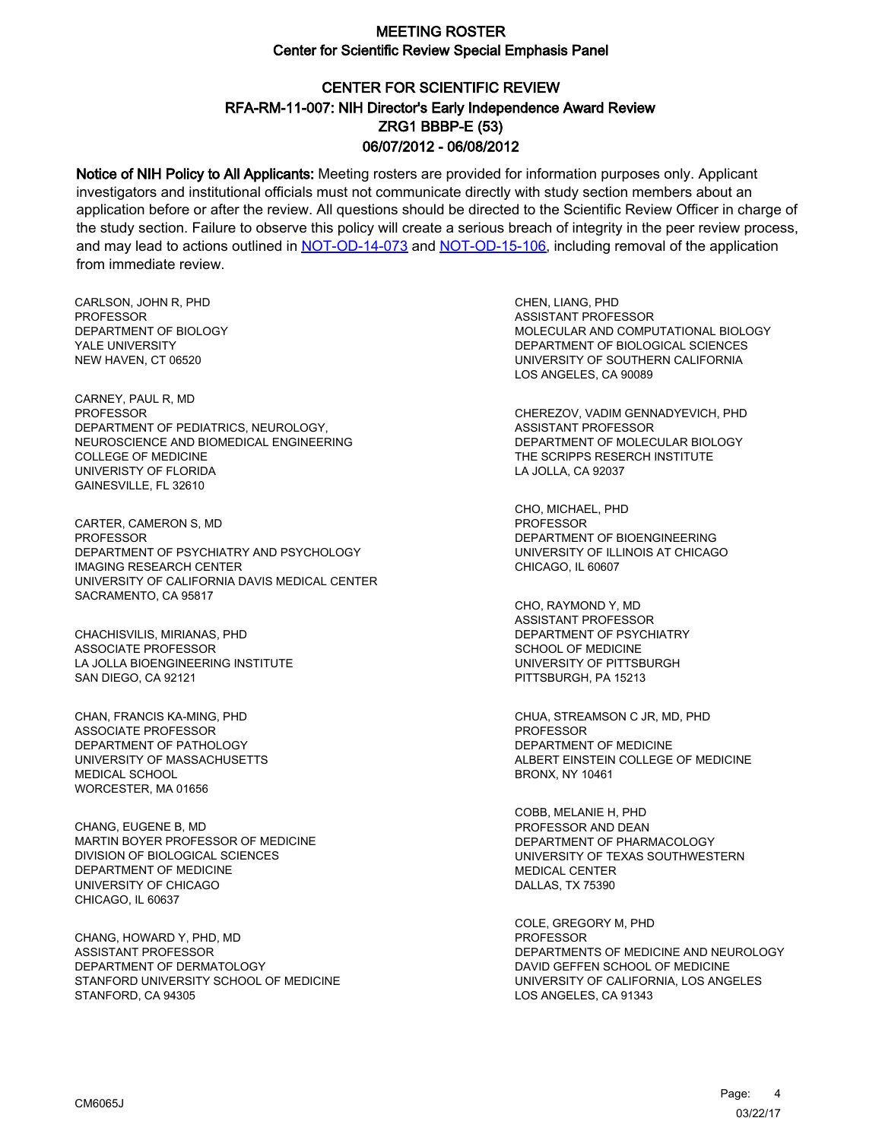# CENTER FOR SCIENTIFIC REVIEW ZRG1 BBBP-E (53) 06/07/2012 - 06/08/2012 RFA-RM-11-007: NIH Director's Early Independence Award Review

Notice of NIH Policy to All Applicants: Meeting rosters are provided for information purposes only. Applicant investigators and institutional officials must not communicate directly with study section members about an application before or after the review. All questions should be directed to the Scientific Review Officer in charge of the study section. Failure to observe this policy will create a serious breach of integrity in the peer review process, and may lead to actions outlined in [NOT-OD-14-073](https://grants.nih.gov/grants/guide/notice-files/NOT-OD-14-073.html) and [NOT-OD-15-106,](https://grants.nih.gov/grants/guide/notice-files/NOT-OD-15-106.html) including removal of the application from immediate review.

CARLSON, JOHN R, PHD **PROFESSOR** DEPARTMENT OF BIOLOGY YALE UNIVERSITY NEW HAVEN, CT 06520

CARNEY, PAUL R, MD PROFESSOR DEPARTMENT OF PEDIATRICS, NEUROLOGY, NEUROSCIENCE AND BIOMEDICAL ENGINEERING COLLEGE OF MEDICINE UNIVERISTY OF FLORIDA GAINESVILLE, FL 32610

CARTER, CAMERON S, MD **PROFESSOR** DEPARTMENT OF PSYCHIATRY AND PSYCHOLOGY IMAGING RESEARCH CENTER UNIVERSITY OF CALIFORNIA DAVIS MEDICAL CENTER SACRAMENTO, CA 95817

CHACHISVILIS, MIRIANAS, PHD ASSOCIATE PROFESSOR LA JOLLA BIOENGINEERING INSTITUTE SAN DIEGO, CA 92121

CHAN, FRANCIS KA-MING, PHD ASSOCIATE PROFESSOR DEPARTMENT OF PATHOLOGY UNIVERSITY OF MASSACHUSETTS MEDICAL SCHOOL WORCESTER, MA 01656

CHANG, EUGENE B, MD MARTIN BOYER PROFESSOR OF MEDICINE DIVISION OF BIOLOGICAL SCIENCES DEPARTMENT OF MEDICINE UNIVERSITY OF CHICAGO CHICAGO, IL 60637

CHANG, HOWARD Y, PHD, MD ASSISTANT PROFESSOR DEPARTMENT OF DERMATOLOGY STANFORD UNIVERSITY SCHOOL OF MEDICINE STANFORD, CA 94305

CHEN, LIANG, PHD ASSISTANT PROFESSOR MOLECULAR AND COMPUTATIONAL BIOLOGY DEPARTMENT OF BIOLOGICAL SCIENCES UNIVERSITY OF SOUTHERN CALIFORNIA LOS ANGELES, CA 90089

CHEREZOV, VADIM GENNADYEVICH, PHD ASSISTANT PROFESSOR DEPARTMENT OF MOLECULAR BIOLOGY THE SCRIPPS RESERCH INSTITUTE LA JOLLA, CA 92037

CHO, MICHAEL, PHD PROFESSOR DEPARTMENT OF BIOENGINEERING UNIVERSITY OF ILLINOIS AT CHICAGO CHICAGO, IL 60607

CHO, RAYMOND Y, MD ASSISTANT PROFESSOR DEPARTMENT OF PSYCHIATRY SCHOOL OF MEDICINE UNIVERSITY OF PITTSBURGH PITTSBURGH, PA 15213

CHUA, STREAMSON C JR, MD, PHD PROFESSOR DEPARTMENT OF MEDICINE ALBERT EINSTEIN COLLEGE OF MEDICINE BRONX, NY 10461

COBB, MELANIE H, PHD PROFESSOR AND DEAN DEPARTMENT OF PHARMACOLOGY UNIVERSITY OF TEXAS SOUTHWESTERN MEDICAL CENTER DALLAS, TX 75390

COLE, GREGORY M, PHD PROFESSOR DEPARTMENTS OF MEDICINE AND NEUROLOGY DAVID GEFFEN SCHOOL OF MEDICINE UNIVERSITY OF CALIFORNIA, LOS ANGELES LOS ANGELES, CA 91343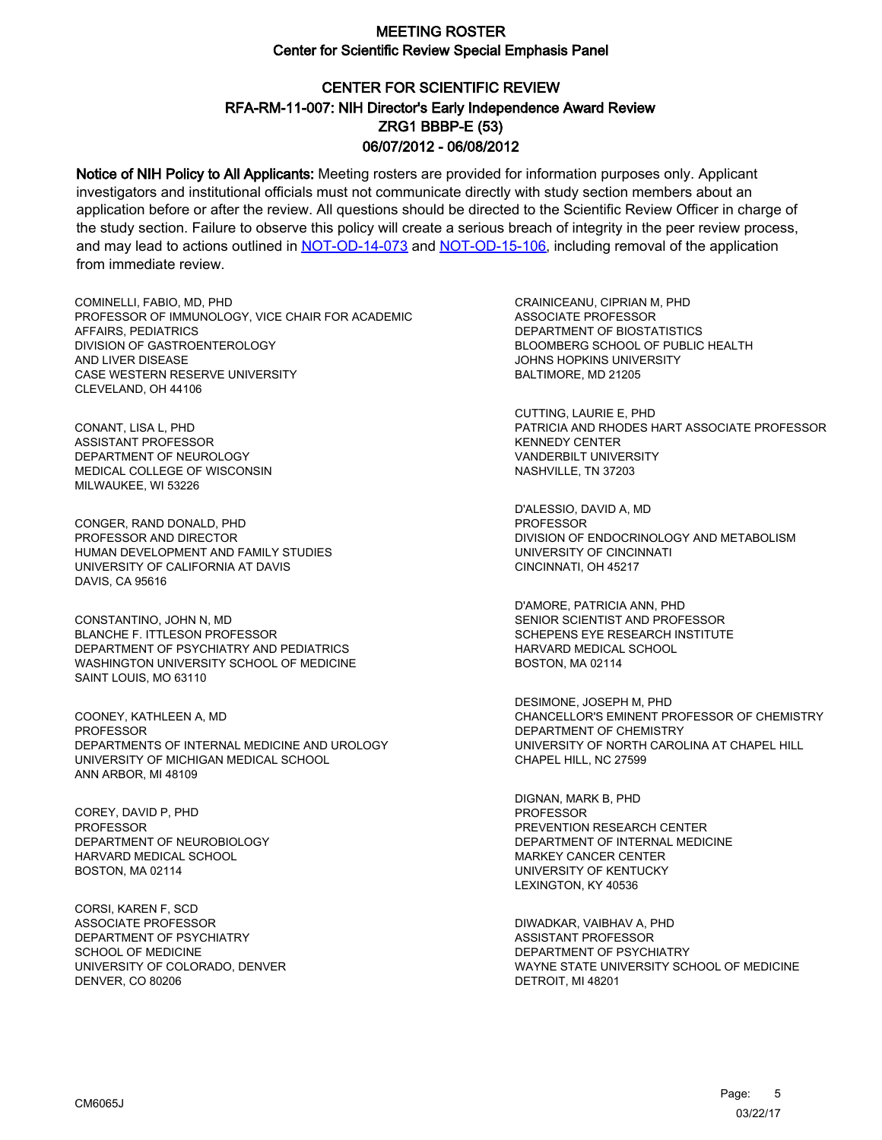# CENTER FOR SCIENTIFIC REVIEW ZRG1 BBBP-E (53) 06/07/2012 - 06/08/2012 RFA-RM-11-007: NIH Director's Early Independence Award Review

Notice of NIH Policy to All Applicants: Meeting rosters are provided for information purposes only. Applicant investigators and institutional officials must not communicate directly with study section members about an application before or after the review. All questions should be directed to the Scientific Review Officer in charge of the study section. Failure to observe this policy will create a serious breach of integrity in the peer review process, and may lead to actions outlined in [NOT-OD-14-073](https://grants.nih.gov/grants/guide/notice-files/NOT-OD-14-073.html) and [NOT-OD-15-106,](https://grants.nih.gov/grants/guide/notice-files/NOT-OD-15-106.html) including removal of the application from immediate review.

COMINELLI, FABIO, MD, PHD PROFESSOR OF IMMUNOLOGY, VICE CHAIR FOR ACADEMIC AFFAIRS, PEDIATRICS DIVISION OF GASTROENTEROLOGY AND LIVER DISEASE CASE WESTERN RESERVE UNIVERSITY CLEVELAND, OH 44106

CONANT, LISA L, PHD ASSISTANT PROFESSOR DEPARTMENT OF NEUROLOGY MEDICAL COLLEGE OF WISCONSIN MILWAUKEE, WI 53226

CONGER, RAND DONALD, PHD PROFESSOR AND DIRECTOR HUMAN DEVELOPMENT AND FAMILY STUDIES UNIVERSITY OF CALIFORNIA AT DAVIS DAVIS, CA 95616

CONSTANTINO, JOHN N, MD BLANCHE F. ITTLESON PROFESSOR DEPARTMENT OF PSYCHIATRY AND PEDIATRICS WASHINGTON UNIVERSITY SCHOOL OF MEDICINE SAINT LOUIS, MO 63110

COONEY, KATHLEEN A, MD PROFESSOR DEPARTMENTS OF INTERNAL MEDICINE AND UROLOGY UNIVERSITY OF MICHIGAN MEDICAL SCHOOL ANN ARBOR, MI 48109

COREY, DAVID P, PHD PROFESSOR DEPARTMENT OF NEUROBIOLOGY HARVARD MEDICAL SCHOOL BOSTON, MA 02114

CORSI, KAREN F, SCD ASSOCIATE PROFESSOR DEPARTMENT OF PSYCHIATRY SCHOOL OF MEDICINE UNIVERSITY OF COLORADO, DENVER DENVER, CO 80206

CRAINICEANU, CIPRIAN M, PHD ASSOCIATE PROFESSOR DEPARTMENT OF BIOSTATISTICS BLOOMBERG SCHOOL OF PUBLIC HEALTH JOHNS HOPKINS UNIVERSITY BALTIMORE, MD 21205

CUTTING, LAURIE E, PHD PATRICIA AND RHODES HART ASSOCIATE PROFESSOR KENNEDY CENTER VANDERBILT UNIVERSITY NASHVILLE, TN 37203

D'ALESSIO, DAVID A, MD PROFESSOR DIVISION OF ENDOCRINOLOGY AND METABOLISM UNIVERSITY OF CINCINNATI CINCINNATI, OH 45217

D'AMORE, PATRICIA ANN, PHD SENIOR SCIENTIST AND PROFESSOR SCHEPENS EYE RESEARCH INSTITUTE HARVARD MEDICAL SCHOOL BOSTON, MA 02114

DESIMONE, JOSEPH M, PHD CHANCELLOR'S EMINENT PROFESSOR OF CHEMISTRY DEPARTMENT OF CHEMISTRY UNIVERSITY OF NORTH CAROLINA AT CHAPEL HILL CHAPEL HILL, NC 27599

DIGNAN, MARK B, PHD PROFESSOR PREVENTION RESEARCH CENTER DEPARTMENT OF INTERNAL MEDICINE MARKEY CANCER CENTER UNIVERSITY OF KENTUCKY LEXINGTON, KY 40536

DIWADKAR, VAIBHAV A, PHD ASSISTANT PROFESSOR DEPARTMENT OF PSYCHIATRY WAYNE STATE UNIVERSITY SCHOOL OF MEDICINE DETROIT, MI 48201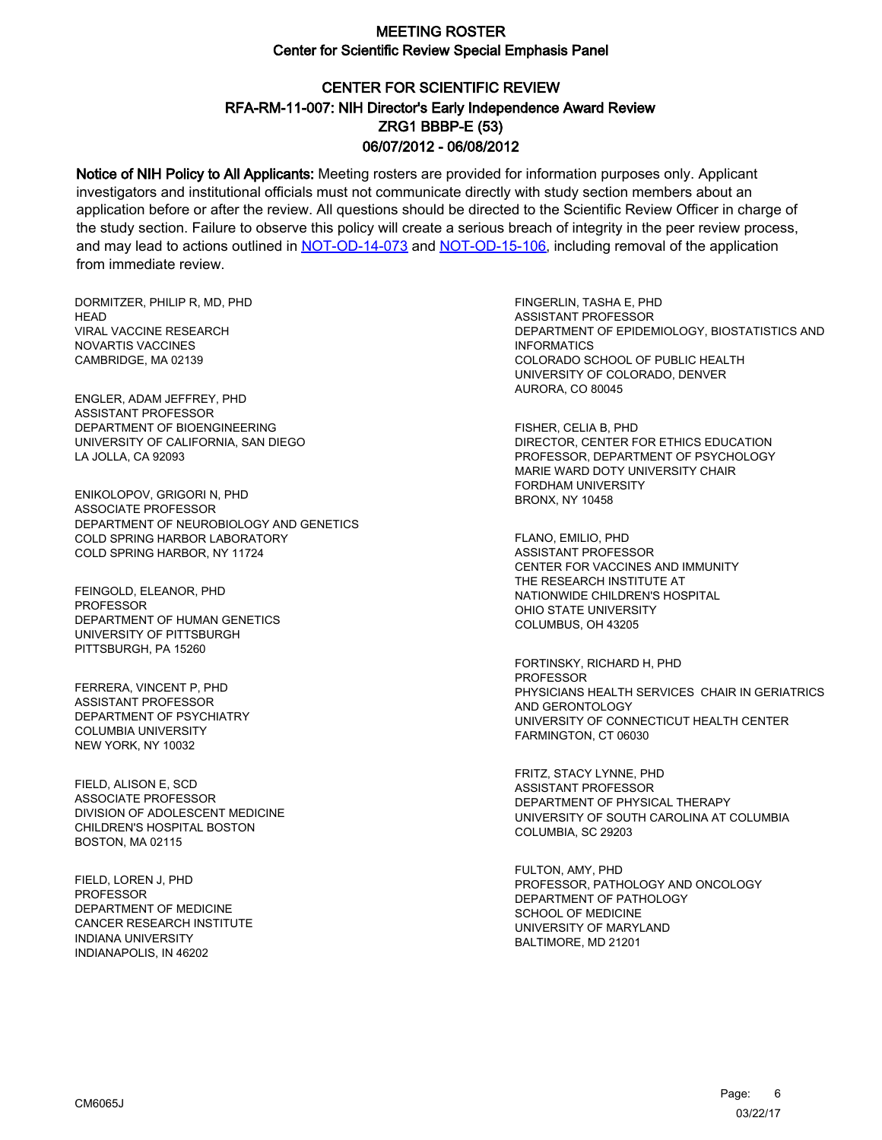# CENTER FOR SCIENTIFIC REVIEW ZRG1 BBBP-E (53) 06/07/2012 - 06/08/2012 RFA-RM-11-007: NIH Director's Early Independence Award Review

Notice of NIH Policy to All Applicants: Meeting rosters are provided for information purposes only. Applicant investigators and institutional officials must not communicate directly with study section members about an application before or after the review. All questions should be directed to the Scientific Review Officer in charge of the study section. Failure to observe this policy will create a serious breach of integrity in the peer review process, and may lead to actions outlined in [NOT-OD-14-073](https://grants.nih.gov/grants/guide/notice-files/NOT-OD-14-073.html) and [NOT-OD-15-106,](https://grants.nih.gov/grants/guide/notice-files/NOT-OD-15-106.html) including removal of the application from immediate review.

DORMITZER, PHILIP R, MD, PHD **HFAD** VIRAL VACCINE RESEARCH NOVARTIS VACCINES CAMBRIDGE, MA 02139

ENGLER, ADAM JEFFREY, PHD ASSISTANT PROFESSOR DEPARTMENT OF BIOENGINEERING UNIVERSITY OF CALIFORNIA, SAN DIEGO LA JOLLA, CA 92093

ENIKOLOPOV, GRIGORI N, PHD ASSOCIATE PROFESSOR DEPARTMENT OF NEUROBIOLOGY AND GENETICS COLD SPRING HARBOR LABORATORY COLD SPRING HARBOR, NY 11724

FEINGOLD, ELEANOR, PHD **PROFESSOR** DEPARTMENT OF HUMAN GENETICS UNIVERSITY OF PITTSBURGH PITTSBURGH, PA 15260

FERRERA, VINCENT P, PHD ASSISTANT PROFESSOR DEPARTMENT OF PSYCHIATRY COLUMBIA UNIVERSITY NEW YORK, NY 10032

FIELD, ALISON E, SCD ASSOCIATE PROFESSOR DIVISION OF ADOLESCENT MEDICINE CHILDREN'S HOSPITAL BOSTON BOSTON, MA 02115

FIELD, LOREN J, PHD **PROFESSOR** DEPARTMENT OF MEDICINE CANCER RESEARCH INSTITUTE INDIANA UNIVERSITY INDIANAPOLIS, IN 46202

FINGERLIN, TASHA E, PHD ASSISTANT PROFESSOR DEPARTMENT OF EPIDEMIOLOGY, BIOSTATISTICS AND INFORMATICS COLORADO SCHOOL OF PUBLIC HEALTH UNIVERSITY OF COLORADO, DENVER AURORA, CO 80045

FISHER, CELIA B, PHD DIRECTOR, CENTER FOR ETHICS EDUCATION PROFESSOR, DEPARTMENT OF PSYCHOLOGY MARIE WARD DOTY UNIVERSITY CHAIR FORDHAM UNIVERSITY BRONX, NY 10458

FLANO, EMILIO, PHD ASSISTANT PROFESSOR CENTER FOR VACCINES AND IMMUNITY THE RESEARCH INSTITUTE AT NATIONWIDE CHILDREN'S HOSPITAL OHIO STATE UNIVERSITY COLUMBUS, OH 43205

FORTINSKY, RICHARD H, PHD PROFESSOR PHYSICIANS HEALTH SERVICES CHAIR IN GERIATRICS AND GERONTOLOGY UNIVERSITY OF CONNECTICUT HEALTH CENTER FARMINGTON, CT 06030

FRITZ, STACY LYNNE, PHD ASSISTANT PROFESSOR DEPARTMENT OF PHYSICAL THERAPY UNIVERSITY OF SOUTH CAROLINA AT COLUMBIA COLUMBIA, SC 29203

FULTON, AMY, PHD PROFESSOR, PATHOLOGY AND ONCOLOGY DEPARTMENT OF PATHOLOGY SCHOOL OF MEDICINE UNIVERSITY OF MARYLAND BALTIMORE, MD 21201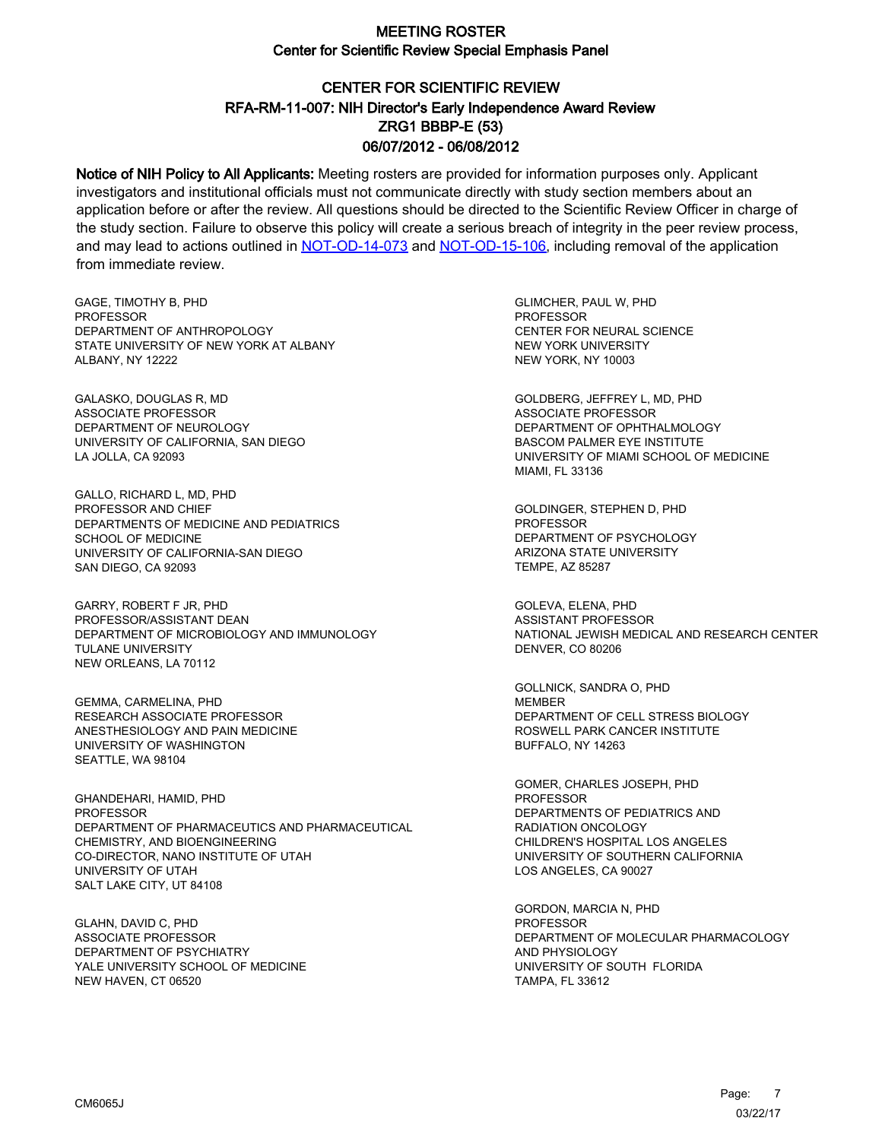# CENTER FOR SCIENTIFIC REVIEW ZRG1 BBBP-E (53) 06/07/2012 - 06/08/2012 RFA-RM-11-007: NIH Director's Early Independence Award Review

Notice of NIH Policy to All Applicants: Meeting rosters are provided for information purposes only. Applicant investigators and institutional officials must not communicate directly with study section members about an application before or after the review. All questions should be directed to the Scientific Review Officer in charge of the study section. Failure to observe this policy will create a serious breach of integrity in the peer review process, and may lead to actions outlined in [NOT-OD-14-073](https://grants.nih.gov/grants/guide/notice-files/NOT-OD-14-073.html) and [NOT-OD-15-106,](https://grants.nih.gov/grants/guide/notice-files/NOT-OD-15-106.html) including removal of the application from immediate review.

GAGE, TIMOTHY B, PHD **PROFESSOR** DEPARTMENT OF ANTHROPOLOGY STATE UNIVERSITY OF NEW YORK AT ALBANY ALBANY, NY 12222

GALASKO, DOUGLAS R, MD ASSOCIATE PROFESSOR DEPARTMENT OF NEUROLOGY UNIVERSITY OF CALIFORNIA, SAN DIEGO LA JOLLA, CA 92093

GALLO, RICHARD L, MD, PHD PROFESSOR AND CHIEF DEPARTMENTS OF MEDICINE AND PEDIATRICS SCHOOL OF MEDICINE UNIVERSITY OF CALIFORNIA-SAN DIEGO SAN DIEGO, CA 92093

GARRY, ROBERT F JR, PHD PROFESSOR/ASSISTANT DEAN DEPARTMENT OF MICROBIOLOGY AND IMMUNOLOGY TULANE UNIVERSITY NEW ORLEANS, LA 70112

GEMMA, CARMELINA, PHD RESEARCH ASSOCIATE PROFESSOR ANESTHESIOLOGY AND PAIN MEDICINE UNIVERSITY OF WASHINGTON SEATTLE, WA 98104

GHANDEHARI, HAMID, PHD PROFESSOR DEPARTMENT OF PHARMACEUTICS AND PHARMACEUTICAL CHEMISTRY, AND BIOENGINEERING CO-DIRECTOR, NANO INSTITUTE OF UTAH UNIVERSITY OF UTAH SALT LAKE CITY, UT 84108

GLAHN, DAVID C, PHD ASSOCIATE PROFESSOR DEPARTMENT OF PSYCHIATRY YALE UNIVERSITY SCHOOL OF MEDICINE NEW HAVEN, CT 06520

GLIMCHER, PAUL W, PHD **PROFESSOR** CENTER FOR NEURAL SCIENCE NEW YORK UNIVERSITY NEW YORK, NY 10003

GOLDBERG, JEFFREY L, MD, PHD ASSOCIATE PROFESSOR DEPARTMENT OF OPHTHALMOLOGY BASCOM PALMER EYE INSTITUTE UNIVERSITY OF MIAMI SCHOOL OF MEDICINE MIAMI, FL 33136

GOLDINGER, STEPHEN D, PHD PROFESSOR DEPARTMENT OF PSYCHOLOGY ARIZONA STATE UNIVERSITY TEMPE, AZ 85287

GOLEVA, ELENA, PHD ASSISTANT PROFESSOR NATIONAL JEWISH MEDICAL AND RESEARCH CENTER DENVER, CO 80206

GOLLNICK, SANDRA O, PHD MEMBER DEPARTMENT OF CELL STRESS BIOLOGY ROSWELL PARK CANCER INSTITUTE BUFFALO, NY 14263

GOMER, CHARLES JOSEPH, PHD PROFESSOR DEPARTMENTS OF PEDIATRICS AND RADIATION ONCOLOGY CHILDREN'S HOSPITAL LOS ANGELES UNIVERSITY OF SOUTHERN CALIFORNIA LOS ANGELES, CA 90027

GORDON, MARCIA N, PHD PROFESSOR DEPARTMENT OF MOLECULAR PHARMACOLOGY AND PHYSIOLOGY UNIVERSITY OF SOUTH FLORIDA TAMPA, FL 33612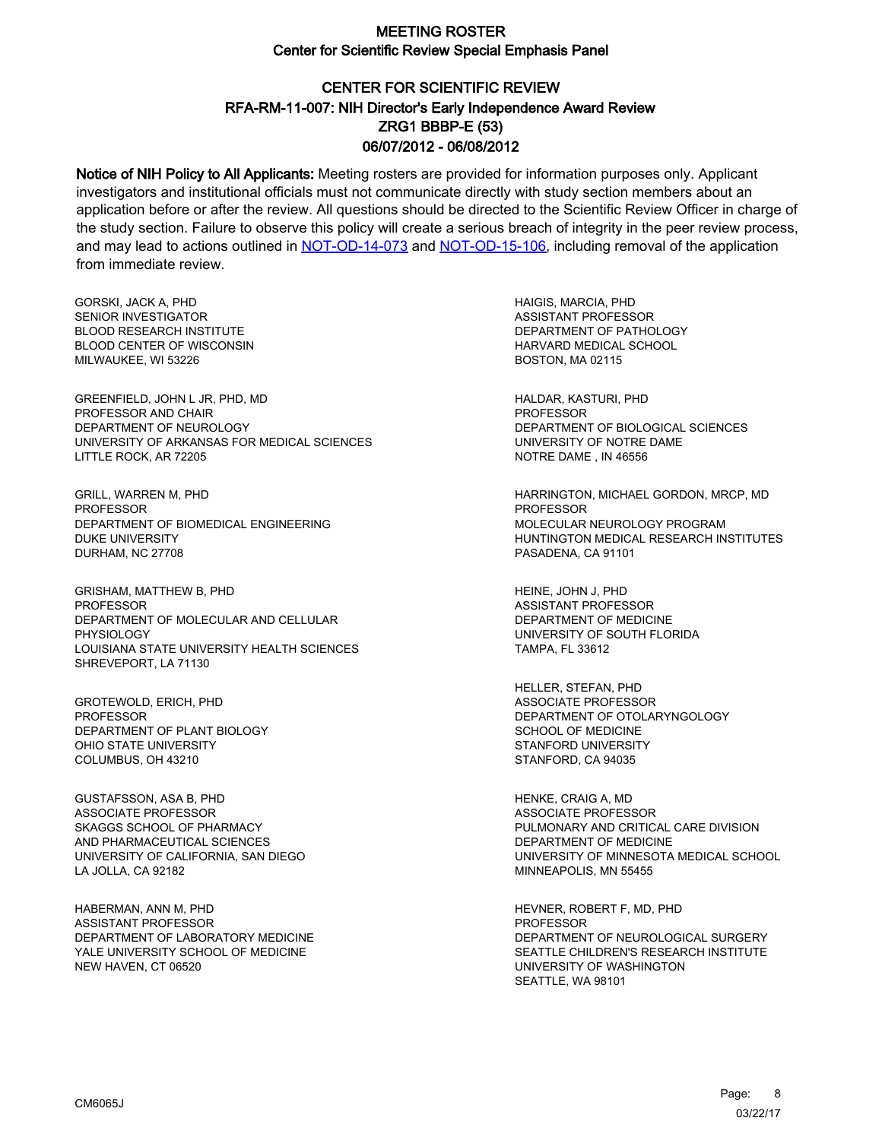# CENTER FOR SCIENTIFIC REVIEW ZRG1 BBBP-E (53) 06/07/2012 - 06/08/2012 RFA-RM-11-007: NIH Director's Early Independence Award Review

Notice of NIH Policy to All Applicants: Meeting rosters are provided for information purposes only. Applicant investigators and institutional officials must not communicate directly with study section members about an application before or after the review. All questions should be directed to the Scientific Review Officer in charge of the study section. Failure to observe this policy will create a serious breach of integrity in the peer review process, and may lead to actions outlined in [NOT-OD-14-073](https://grants.nih.gov/grants/guide/notice-files/NOT-OD-14-073.html) and [NOT-OD-15-106,](https://grants.nih.gov/grants/guide/notice-files/NOT-OD-15-106.html) including removal of the application from immediate review.

GORSKI, JACK A, PHD SENIOR INVESTIGATOR BLOOD RESEARCH INSTITUTE BLOOD CENTER OF WISCONSIN MILWAUKEE, WI 53226

GREENFIELD, JOHN L JR, PHD, MD PROFESSOR AND CHAIR DEPARTMENT OF NEUROLOGY UNIVERSITY OF ARKANSAS FOR MEDICAL SCIENCES LITTLE ROCK, AR 72205

GRILL, WARREN M, PHD PROFESSOR DEPARTMENT OF BIOMEDICAL ENGINEERING DUKE UNIVERSITY DURHAM, NC 27708

GRISHAM, MATTHEW B, PHD **PROFESSOR** DEPARTMENT OF MOLECULAR AND CELLULAR PHYSIOLOGY LOUISIANA STATE UNIVERSITY HEALTH SCIENCES SHREVEPORT, LA 71130

GROTEWOLD, ERICH, PHD PROFESSOR DEPARTMENT OF PLANT BIOLOGY OHIO STATE UNIVERSITY COLUMBUS, OH 43210

GUSTAFSSON, ASA B, PHD ASSOCIATE PROFESSOR SKAGGS SCHOOL OF PHARMACY AND PHARMACEUTICAL SCIENCES UNIVERSITY OF CALIFORNIA, SAN DIEGO LA JOLLA, CA 92182

HABERMAN, ANN M, PHD ASSISTANT PROFESSOR DEPARTMENT OF LABORATORY MEDICINE YALE UNIVERSITY SCHOOL OF MEDICINE NEW HAVEN, CT 06520

HAIGIS, MARCIA, PHD ASSISTANT PROFESSOR DEPARTMENT OF PATHOLOGY HARVARD MEDICAL SCHOOL BOSTON, MA 02115

HALDAR, KASTURI, PHD PROFESSOR DEPARTMENT OF BIOLOGICAL SCIENCES UNIVERSITY OF NOTRE DAME NOTRE DAME , IN 46556

HARRINGTON, MICHAEL GORDON, MRCP, MD **PROFESSOR** MOLECULAR NEUROLOGY PROGRAM HUNTINGTON MEDICAL RESEARCH INSTITUTES PASADENA, CA 91101

HEINE, JOHN J, PHD ASSISTANT PROFESSOR DEPARTMENT OF MEDICINE UNIVERSITY OF SOUTH FLORIDA TAMPA, FL 33612

HELLER, STEFAN, PHD ASSOCIATE PROFESSOR DEPARTMENT OF OTOLARYNGOLOGY SCHOOL OF MEDICINE STANFORD UNIVERSITY STANFORD, CA 94035

HENKE, CRAIG A, MD ASSOCIATE PROFESSOR PULMONARY AND CRITICAL CARE DIVISION DEPARTMENT OF MEDICINE UNIVERSITY OF MINNESOTA MEDICAL SCHOOL MINNEAPOLIS, MN 55455

HEVNER, ROBERT F, MD, PHD PROFESSOR DEPARTMENT OF NEUROLOGICAL SURGERY SEATTLE CHILDREN'S RESEARCH INSTITUTE UNIVERSITY OF WASHINGTON SEATTLE, WA 98101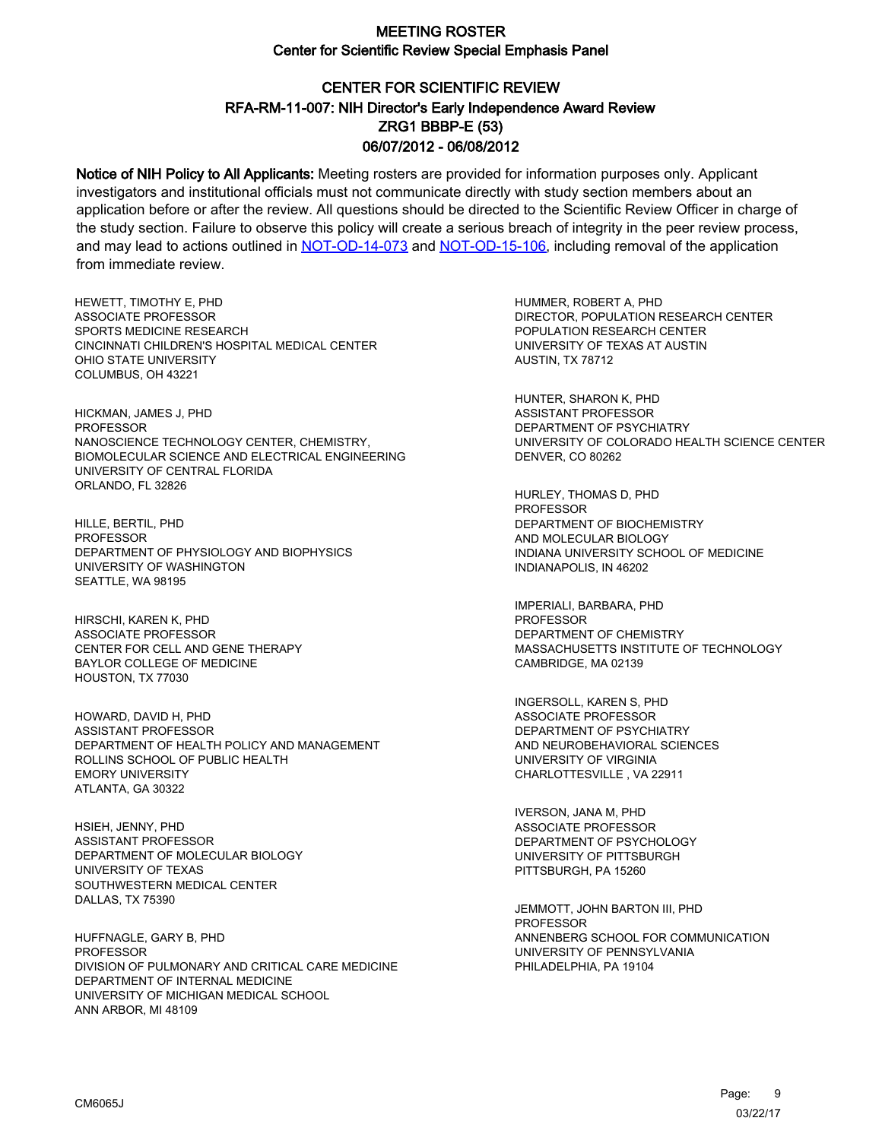# CENTER FOR SCIENTIFIC REVIEW ZRG1 BBBP-E (53) 06/07/2012 - 06/08/2012 RFA-RM-11-007: NIH Director's Early Independence Award Review

Notice of NIH Policy to All Applicants: Meeting rosters are provided for information purposes only. Applicant investigators and institutional officials must not communicate directly with study section members about an application before or after the review. All questions should be directed to the Scientific Review Officer in charge of the study section. Failure to observe this policy will create a serious breach of integrity in the peer review process, and may lead to actions outlined in [NOT-OD-14-073](https://grants.nih.gov/grants/guide/notice-files/NOT-OD-14-073.html) and [NOT-OD-15-106,](https://grants.nih.gov/grants/guide/notice-files/NOT-OD-15-106.html) including removal of the application from immediate review.

HEWETT, TIMOTHY E, PHD ASSOCIATE PROFESSOR SPORTS MEDICINE RESEARCH CINCINNATI CHILDREN'S HOSPITAL MEDICAL CENTER OHIO STATE UNIVERSITY COLUMBUS, OH 43221

HICKMAN, JAMES J, PHD PROFESSOR NANOSCIENCE TECHNOLOGY CENTER, CHEMISTRY, BIOMOLECULAR SCIENCE AND ELECTRICAL ENGINEERING UNIVERSITY OF CENTRAL FLORIDA ORLANDO, FL 32826

HILLE, BERTIL, PHD **PROFESSOR** DEPARTMENT OF PHYSIOLOGY AND BIOPHYSICS UNIVERSITY OF WASHINGTON SEATTLE, WA 98195

HIRSCHI, KAREN K, PHD ASSOCIATE PROFESSOR CENTER FOR CELL AND GENE THERAPY BAYLOR COLLEGE OF MEDICINE HOUSTON, TX 77030

HOWARD, DAVID H, PHD ASSISTANT PROFESSOR DEPARTMENT OF HEALTH POLICY AND MANAGEMENT ROLLINS SCHOOL OF PUBLIC HEALTH EMORY UNIVERSITY ATLANTA, GA 30322

HSIEH, JENNY, PHD ASSISTANT PROFESSOR DEPARTMENT OF MOLECULAR BIOLOGY UNIVERSITY OF TEXAS SOUTHWESTERN MEDICAL CENTER DALLAS, TX 75390

HUFFNAGLE, GARY B, PHD PROFESSOR DIVISION OF PULMONARY AND CRITICAL CARE MEDICINE DEPARTMENT OF INTERNAL MEDICINE UNIVERSITY OF MICHIGAN MEDICAL SCHOOL ANN ARBOR, MI 48109

HUMMER, ROBERT A, PHD DIRECTOR, POPULATION RESEARCH CENTER POPULATION RESEARCH CENTER UNIVERSITY OF TEXAS AT AUSTIN AUSTIN, TX 78712

HUNTER, SHARON K, PHD ASSISTANT PROFESSOR DEPARTMENT OF PSYCHIATRY UNIVERSITY OF COLORADO HEALTH SCIENCE CENTER DENVER, CO 80262

HURLEY, THOMAS D, PHD **PROFESSOR** DEPARTMENT OF BIOCHEMISTRY AND MOLECULAR BIOLOGY INDIANA UNIVERSITY SCHOOL OF MEDICINE INDIANAPOLIS, IN 46202

IMPERIALI, BARBARA, PHD PROFESSOR DEPARTMENT OF CHEMISTRY MASSACHUSETTS INSTITUTE OF TECHNOLOGY CAMBRIDGE, MA 02139

INGERSOLL, KAREN S, PHD ASSOCIATE PROFESSOR DEPARTMENT OF PSYCHIATRY AND NEUROBEHAVIORAL SCIENCES UNIVERSITY OF VIRGINIA CHARLOTTESVILLE , VA 22911

IVERSON, JANA M, PHD ASSOCIATE PROFESSOR DEPARTMENT OF PSYCHOLOGY UNIVERSITY OF PITTSBURGH PITTSBURGH, PA 15260

JEMMOTT, JOHN BARTON III, PHD **PROFESSOR** ANNENBERG SCHOOL FOR COMMUNICATION UNIVERSITY OF PENNSYLVANIA PHILADELPHIA, PA 19104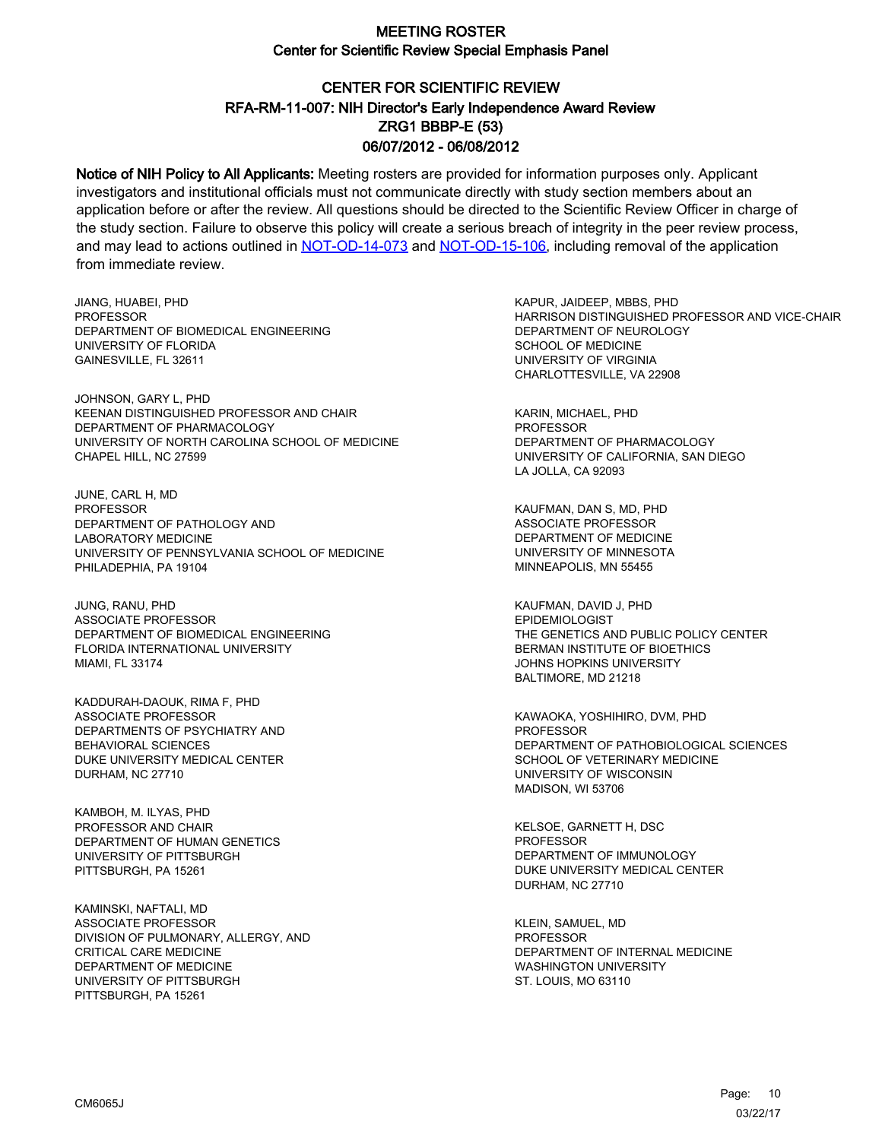# CENTER FOR SCIENTIFIC REVIEW ZRG1 BBBP-E (53) 06/07/2012 - 06/08/2012 RFA-RM-11-007: NIH Director's Early Independence Award Review

Notice of NIH Policy to All Applicants: Meeting rosters are provided for information purposes only. Applicant investigators and institutional officials must not communicate directly with study section members about an application before or after the review. All questions should be directed to the Scientific Review Officer in charge of the study section. Failure to observe this policy will create a serious breach of integrity in the peer review process, and may lead to actions outlined in [NOT-OD-14-073](https://grants.nih.gov/grants/guide/notice-files/NOT-OD-14-073.html) and [NOT-OD-15-106,](https://grants.nih.gov/grants/guide/notice-files/NOT-OD-15-106.html) including removal of the application from immediate review.

JIANG, HUABEI, PHD **PROFESSOR** DEPARTMENT OF BIOMEDICAL ENGINEERING UNIVERSITY OF FLORIDA GAINESVILLE, FL 32611

JOHNSON, GARY L, PHD KEENAN DISTINGUISHED PROFESSOR AND CHAIR DEPARTMENT OF PHARMACOLOGY UNIVERSITY OF NORTH CAROLINA SCHOOL OF MEDICINE CHAPEL HILL, NC 27599

JUNE, CARL H, MD PROFESSOR DEPARTMENT OF PATHOLOGY AND LABORATORY MEDICINE UNIVERSITY OF PENNSYLVANIA SCHOOL OF MEDICINE PHILADEPHIA, PA 19104

JUNG, RANU, PHD ASSOCIATE PROFESSOR DEPARTMENT OF BIOMEDICAL ENGINEERING FLORIDA INTERNATIONAL UNIVERSITY MIAMI, FL 33174

KADDURAH-DAOUK, RIMA F, PHD ASSOCIATE PROFESSOR DEPARTMENTS OF PSYCHIATRY AND BEHAVIORAL SCIENCES DUKE UNIVERSITY MEDICAL CENTER DURHAM, NC 27710

KAMBOH, M. ILYAS, PHD PROFESSOR AND CHAIR DEPARTMENT OF HUMAN GENETICS UNIVERSITY OF PITTSBURGH PITTSBURGH, PA 15261

KAMINSKI, NAFTALI, MD ASSOCIATE PROFESSOR DIVISION OF PULMONARY, ALLERGY, AND CRITICAL CARE MEDICINE DEPARTMENT OF MEDICINE UNIVERSITY OF PITTSBURGH PITTSBURGH, PA 15261

KAPUR, JAIDEEP, MBBS, PHD HARRISON DISTINGUISHED PROFESSOR AND VICE-CHAIR DEPARTMENT OF NEUROLOGY SCHOOL OF MEDICINE UNIVERSITY OF VIRGINIA CHARLOTTESVILLE, VA 22908

KARIN, MICHAEL, PHD PROFESSOR DEPARTMENT OF PHARMACOLOGY UNIVERSITY OF CALIFORNIA, SAN DIEGO LA JOLLA, CA 92093

KAUFMAN, DAN S, MD, PHD ASSOCIATE PROFESSOR DEPARTMENT OF MEDICINE UNIVERSITY OF MINNESOTA MINNEAPOLIS, MN 55455

KAUFMAN, DAVID J, PHD EPIDEMIOLOGIST THE GENETICS AND PUBLIC POLICY CENTER BERMAN INSTITUTE OF BIOETHICS JOHNS HOPKINS UNIVERSITY BALTIMORE, MD 21218

KAWAOKA, YOSHIHIRO, DVM, PHD PROFESSOR DEPARTMENT OF PATHOBIOLOGICAL SCIENCES SCHOOL OF VETERINARY MEDICINE UNIVERSITY OF WISCONSIN MADISON, WI 53706

KELSOE, GARNETT H, DSC **PROFESSOR** DEPARTMENT OF IMMUNOLOGY DUKE UNIVERSITY MEDICAL CENTER DURHAM, NC 27710

KLEIN, SAMUEL, MD **PROFESSOR** DEPARTMENT OF INTERNAL MEDICINE WASHINGTON UNIVERSITY ST. LOUIS, MO 63110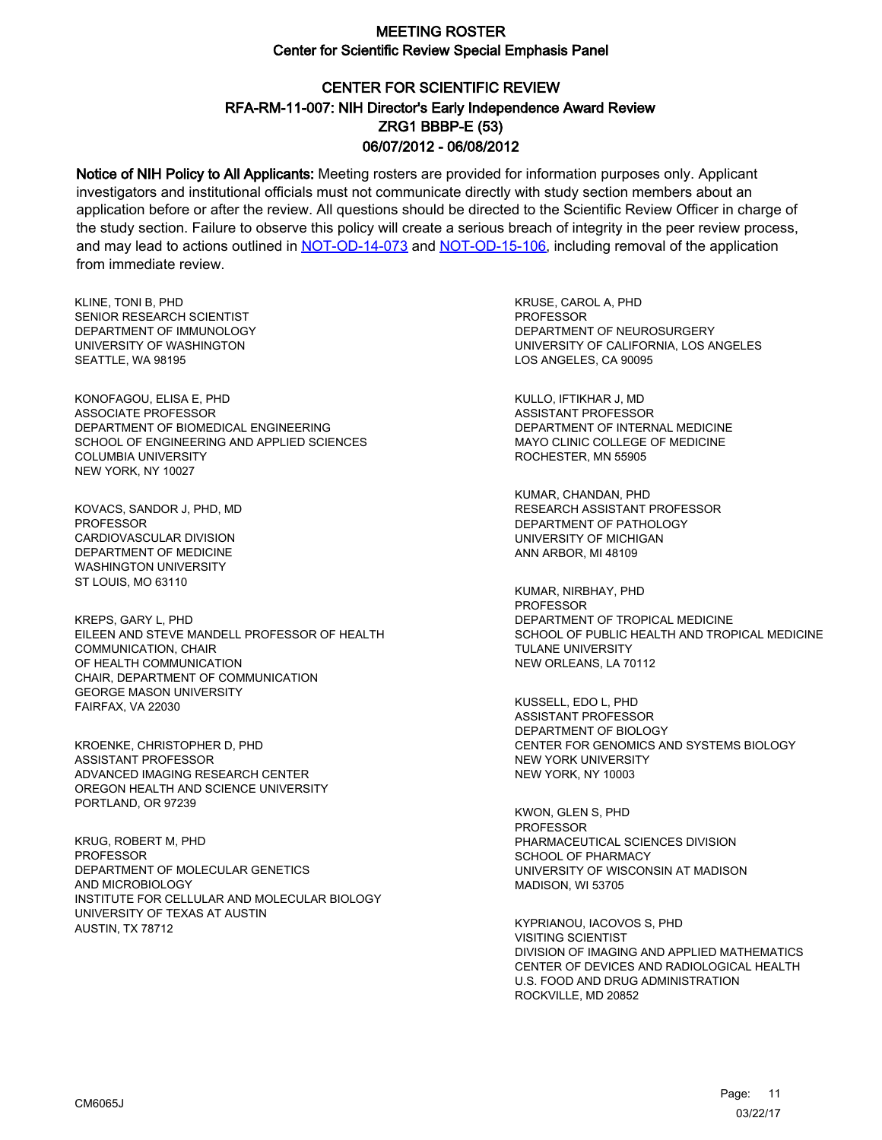# CENTER FOR SCIENTIFIC REVIEW ZRG1 BBBP-E (53) 06/07/2012 - 06/08/2012 RFA-RM-11-007: NIH Director's Early Independence Award Review

Notice of NIH Policy to All Applicants: Meeting rosters are provided for information purposes only. Applicant investigators and institutional officials must not communicate directly with study section members about an application before or after the review. All questions should be directed to the Scientific Review Officer in charge of the study section. Failure to observe this policy will create a serious breach of integrity in the peer review process, and may lead to actions outlined in [NOT-OD-14-073](https://grants.nih.gov/grants/guide/notice-files/NOT-OD-14-073.html) and [NOT-OD-15-106,](https://grants.nih.gov/grants/guide/notice-files/NOT-OD-15-106.html) including removal of the application from immediate review.

KLINE, TONI B, PHD SENIOR RESEARCH SCIENTIST DEPARTMENT OF IMMUNOLOGY UNIVERSITY OF WASHINGTON SEATTLE, WA 98195

KONOFAGOU, ELISA E, PHD ASSOCIATE PROFESSOR DEPARTMENT OF BIOMEDICAL ENGINEERING SCHOOL OF ENGINEERING AND APPLIED SCIENCES COLUMBIA UNIVERSITY NEW YORK, NY 10027

KOVACS, SANDOR J, PHD, MD PROFESSOR CARDIOVASCULAR DIVISION DEPARTMENT OF MEDICINE WASHINGTON UNIVERSITY ST LOUIS, MO 63110

KREPS, GARY L, PHD EILEEN AND STEVE MANDELL PROFESSOR OF HEALTH COMMUNICATION, CHAIR OF HEALTH COMMUNICATION CHAIR, DEPARTMENT OF COMMUNICATION GEORGE MASON UNIVERSITY FAIRFAX, VA 22030

KROENKE, CHRISTOPHER D, PHD ASSISTANT PROFESSOR ADVANCED IMAGING RESEARCH CENTER OREGON HEALTH AND SCIENCE UNIVERSITY PORTLAND, OR 97239

KRUG, ROBERT M, PHD PROFESSOR DEPARTMENT OF MOLECULAR GENETICS AND MICROBIOLOGY INSTITUTE FOR CELLULAR AND MOLECULAR BIOLOGY UNIVERSITY OF TEXAS AT AUSTIN AUSTIN, TX 78712

KRUSE, CAROL A, PHD **PROFESSOR** DEPARTMENT OF NEUROSURGERY UNIVERSITY OF CALIFORNIA, LOS ANGELES LOS ANGELES, CA 90095

KULLO, IFTIKHAR J, MD ASSISTANT PROFESSOR DEPARTMENT OF INTERNAL MEDICINE MAYO CLINIC COLLEGE OF MEDICINE ROCHESTER, MN 55905

KUMAR, CHANDAN, PHD RESEARCH ASSISTANT PROFESSOR DEPARTMENT OF PATHOLOGY UNIVERSITY OF MICHIGAN ANN ARBOR, MI 48109

KUMAR, NIRBHAY, PHD **PROFESSOR** DEPARTMENT OF TROPICAL MEDICINE SCHOOL OF PUBLIC HEALTH AND TROPICAL MEDICINE TULANE UNIVERSITY NEW ORLEANS, LA 70112

KUSSELL, EDO L, PHD ASSISTANT PROFESSOR DEPARTMENT OF BIOLOGY CENTER FOR GENOMICS AND SYSTEMS BIOLOGY NEW YORK UNIVERSITY NEW YORK, NY 10003

KWON, GLEN S, PHD PROFESSOR PHARMACEUTICAL SCIENCES DIVISION SCHOOL OF PHARMACY UNIVERSITY OF WISCONSIN AT MADISON MADISON, WI 53705

KYPRIANOU, IACOVOS S, PHD VISITING SCIENTIST DIVISION OF IMAGING AND APPLIED MATHEMATICS CENTER OF DEVICES AND RADIOLOGICAL HEALTH U.S. FOOD AND DRUG ADMINISTRATION ROCKVILLE, MD 20852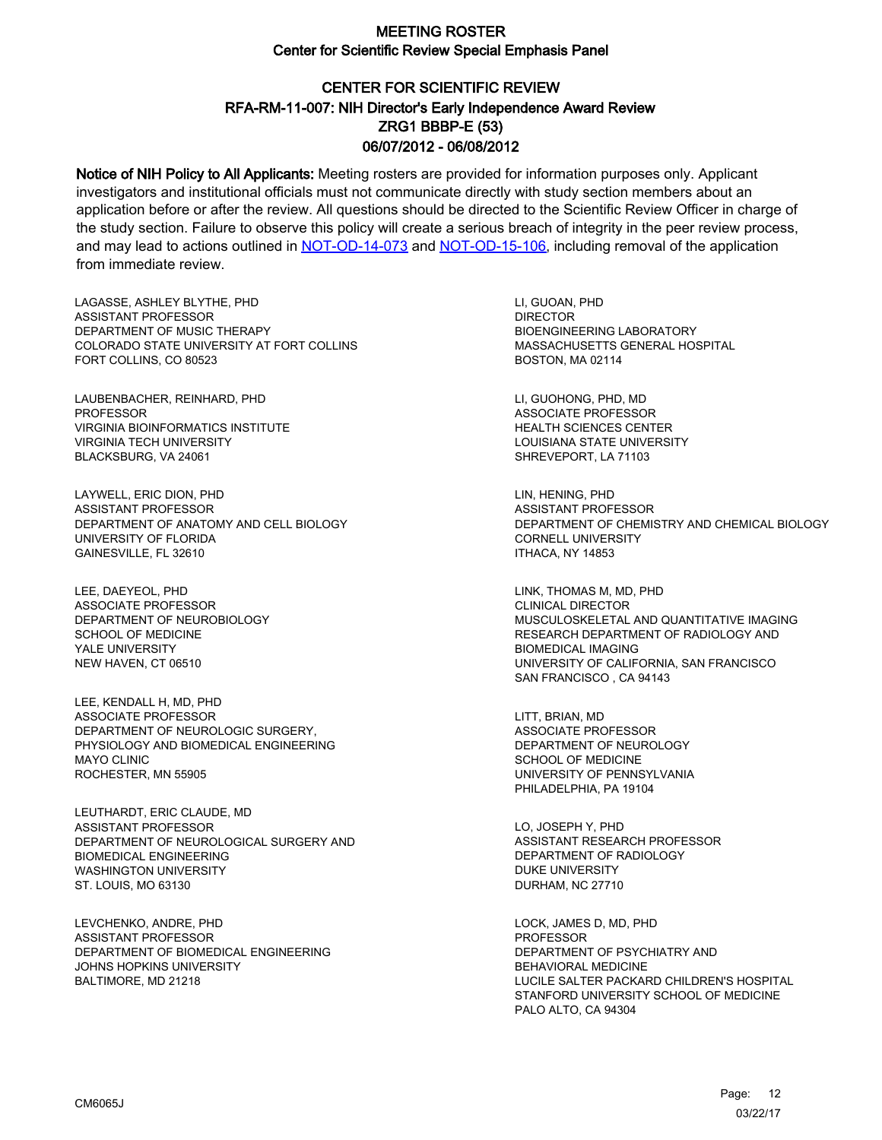# CENTER FOR SCIENTIFIC REVIEW ZRG1 BBBP-E (53) 06/07/2012 - 06/08/2012 RFA-RM-11-007: NIH Director's Early Independence Award Review

Notice of NIH Policy to All Applicants: Meeting rosters are provided for information purposes only. Applicant investigators and institutional officials must not communicate directly with study section members about an application before or after the review. All questions should be directed to the Scientific Review Officer in charge of the study section. Failure to observe this policy will create a serious breach of integrity in the peer review process, and may lead to actions outlined in [NOT-OD-14-073](https://grants.nih.gov/grants/guide/notice-files/NOT-OD-14-073.html) and [NOT-OD-15-106,](https://grants.nih.gov/grants/guide/notice-files/NOT-OD-15-106.html) including removal of the application from immediate review.

LAGASSE, ASHLEY BLYTHE, PHD ASSISTANT PROFESSOR DEPARTMENT OF MUSIC THERAPY COLORADO STATE UNIVERSITY AT FORT COLLINS FORT COLLINS, CO 80523

LAUBENBACHER, REINHARD, PHD PROFESSOR VIRGINIA BIOINFORMATICS INSTITUTE VIRGINIA TECH UNIVERSITY BLACKSBURG, VA 24061

LAYWELL, ERIC DION, PHD ASSISTANT PROFESSOR DEPARTMENT OF ANATOMY AND CELL BIOLOGY UNIVERSITY OF FLORIDA GAINESVILLE, FL 32610

LEE, DAEYEOL, PHD ASSOCIATE PROFESSOR DEPARTMENT OF NEUROBIOLOGY SCHOOL OF MEDICINE YALE UNIVERSITY NEW HAVEN, CT 06510

LEE, KENDALL H, MD, PHD ASSOCIATE PROFESSOR DEPARTMENT OF NEUROLOGIC SURGERY, PHYSIOLOGY AND BIOMEDICAL ENGINEERING MAYO CLINIC ROCHESTER, MN 55905

LEUTHARDT, ERIC CLAUDE, MD ASSISTANT PROFESSOR DEPARTMENT OF NEUROLOGICAL SURGERY AND BIOMEDICAL ENGINEERING WASHINGTON UNIVERSITY ST. LOUIS, MO 63130

LEVCHENKO, ANDRE, PHD ASSISTANT PROFESSOR DEPARTMENT OF BIOMEDICAL ENGINEERING JOHNS HOPKINS UNIVERSITY BALTIMORE, MD 21218

LI, GUOAN, PHD DIRECTOR BIOENGINEERING LABORATORY MASSACHUSETTS GENERAL HOSPITAL BOSTON, MA 02114

LI, GUOHONG, PHD, MD ASSOCIATE PROFESSOR HEALTH SCIENCES CENTER LOUISIANA STATE UNIVERSITY SHREVEPORT, LA 71103

LIN, HENING, PHD ASSISTANT PROFESSOR DEPARTMENT OF CHEMISTRY AND CHEMICAL BIOLOGY CORNELL UNIVERSITY ITHACA, NY 14853

LINK, THOMAS M, MD, PHD CLINICAL DIRECTOR MUSCULOSKELETAL AND QUANTITATIVE IMAGING RESEARCH DEPARTMENT OF RADIOLOGY AND BIOMEDICAL IMAGING UNIVERSITY OF CALIFORNIA, SAN FRANCISCO SAN FRANCISCO , CA 94143

LITT, BRIAN, MD ASSOCIATE PROFESSOR DEPARTMENT OF NEUROLOGY SCHOOL OF MEDICINE UNIVERSITY OF PENNSYLVANIA PHILADELPHIA, PA 19104

LO, JOSEPH Y, PHD ASSISTANT RESEARCH PROFESSOR DEPARTMENT OF RADIOLOGY DUKE UNIVERSITY DURHAM, NC 27710

LOCK, JAMES D, MD, PHD PROFESSOR DEPARTMENT OF PSYCHIATRY AND BEHAVIORAL MEDICINE LUCILE SALTER PACKARD CHILDREN'S HOSPITAL STANFORD UNIVERSITY SCHOOL OF MEDICINE PALO ALTO, CA 94304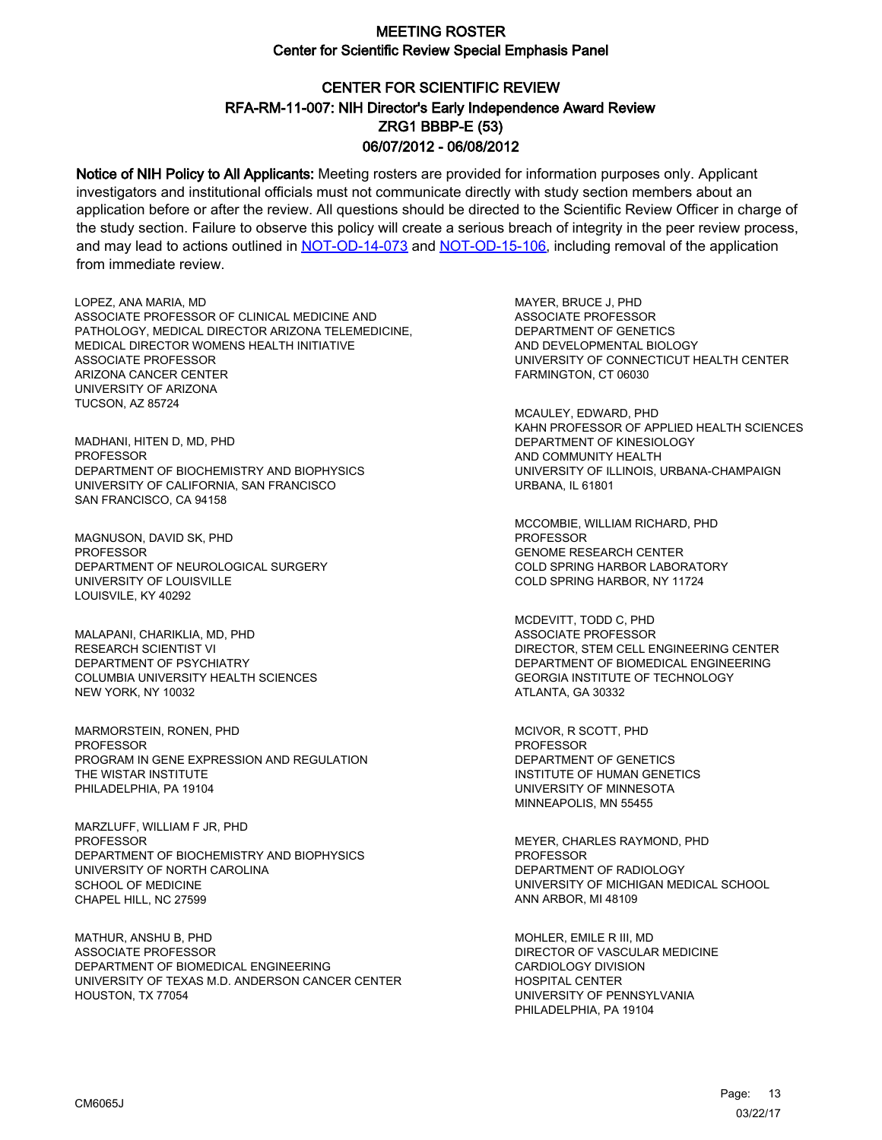# CENTER FOR SCIENTIFIC REVIEW ZRG1 BBBP-E (53) 06/07/2012 - 06/08/2012 RFA-RM-11-007: NIH Director's Early Independence Award Review

Notice of NIH Policy to All Applicants: Meeting rosters are provided for information purposes only. Applicant investigators and institutional officials must not communicate directly with study section members about an application before or after the review. All questions should be directed to the Scientific Review Officer in charge of the study section. Failure to observe this policy will create a serious breach of integrity in the peer review process, and may lead to actions outlined in [NOT-OD-14-073](https://grants.nih.gov/grants/guide/notice-files/NOT-OD-14-073.html) and [NOT-OD-15-106,](https://grants.nih.gov/grants/guide/notice-files/NOT-OD-15-106.html) including removal of the application from immediate review.

LOPEZ, ANA MARIA, MD ASSOCIATE PROFESSOR OF CLINICAL MEDICINE AND PATHOLOGY, MEDICAL DIRECTOR ARIZONA TELEMEDICINE, MEDICAL DIRECTOR WOMENS HEALTH INITIATIVE ASSOCIATE PROFESSOR ARIZONA CANCER CENTER UNIVERSITY OF ARIZONA TUCSON, AZ 85724

MADHANI, HITEN D, MD, PHD PROFESSOR DEPARTMENT OF BIOCHEMISTRY AND BIOPHYSICS UNIVERSITY OF CALIFORNIA, SAN FRANCISCO SAN FRANCISCO, CA 94158

MAGNUSON, DAVID SK, PHD **PROFESSOR** DEPARTMENT OF NEUROLOGICAL SURGERY UNIVERSITY OF LOUISVILLE LOUISVILE, KY 40292

MALAPANI, CHARIKLIA, MD, PHD RESEARCH SCIENTIST VI DEPARTMENT OF PSYCHIATRY COLUMBIA UNIVERSITY HEALTH SCIENCES NEW YORK, NY 10032

MARMORSTEIN, RONEN, PHD PROFESSOR PROGRAM IN GENE EXPRESSION AND REGULATION THE WISTAR INSTITUTE PHILADELPHIA, PA 19104

MARZLUFF, WILLIAM F JR, PHD **PROFESSOR** DEPARTMENT OF BIOCHEMISTRY AND BIOPHYSICS UNIVERSITY OF NORTH CAROLINA SCHOOL OF MEDICINE CHAPEL HILL, NC 27599

MATHUR, ANSHU B, PHD ASSOCIATE PROFESSOR DEPARTMENT OF BIOMEDICAL ENGINEERING UNIVERSITY OF TEXAS M.D. ANDERSON CANCER CENTER HOUSTON, TX 77054

MAYER, BRUCE J, PHD ASSOCIATE PROFESSOR DEPARTMENT OF GENETICS AND DEVELOPMENTAL BIOLOGY UNIVERSITY OF CONNECTICUT HEALTH CENTER FARMINGTON, CT 06030

MCAULEY, EDWARD, PHD KAHN PROFESSOR OF APPLIED HEALTH SCIENCES DEPARTMENT OF KINESIOLOGY AND COMMUNITY HEALTH UNIVERSITY OF ILLINOIS, URBANA-CHAMPAIGN URBANA, IL 61801

MCCOMBIE, WILLIAM RICHARD, PHD **PROFESSOR** GENOME RESEARCH CENTER COLD SPRING HARBOR LABORATORY COLD SPRING HARBOR, NY 11724

MCDEVITT, TODD C, PHD ASSOCIATE PROFESSOR DIRECTOR, STEM CELL ENGINEERING CENTER DEPARTMENT OF BIOMEDICAL ENGINEERING GEORGIA INSTITUTE OF TECHNOLOGY ATLANTA, GA 30332

MCIVOR, R SCOTT, PHD PROFESSOR DEPARTMENT OF GENETICS INSTITUTE OF HUMAN GENETICS UNIVERSITY OF MINNESOTA MINNEAPOLIS, MN 55455

MEYER, CHARLES RAYMOND, PHD PROFESSOR DEPARTMENT OF RADIOLOGY UNIVERSITY OF MICHIGAN MEDICAL SCHOOL ANN ARBOR, MI 48109

MOHLER, EMILE R III, MD DIRECTOR OF VASCULAR MEDICINE CARDIOLOGY DIVISION HOSPITAL CENTER UNIVERSITY OF PENNSYLVANIA PHILADELPHIA, PA 19104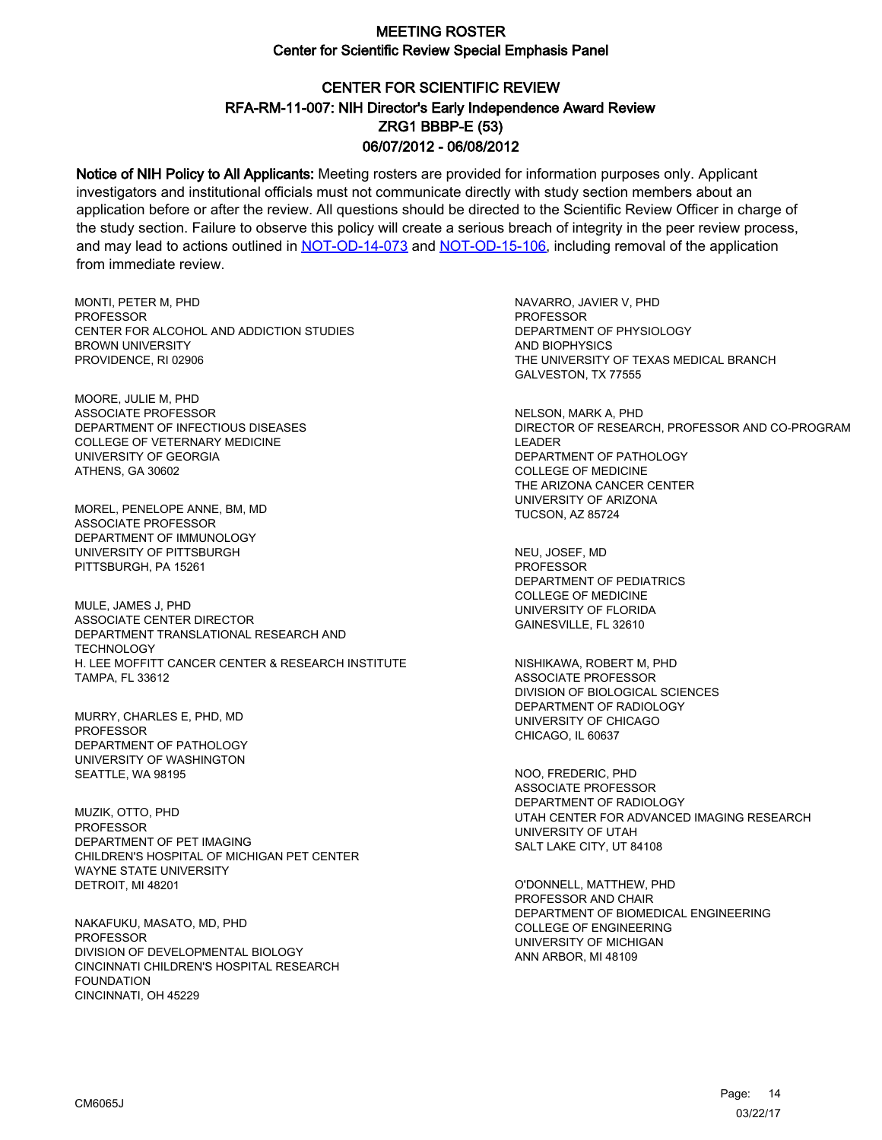# CENTER FOR SCIENTIFIC REVIEW ZRG1 BBBP-E (53) 06/07/2012 - 06/08/2012 RFA-RM-11-007: NIH Director's Early Independence Award Review

Notice of NIH Policy to All Applicants: Meeting rosters are provided for information purposes only. Applicant investigators and institutional officials must not communicate directly with study section members about an application before or after the review. All questions should be directed to the Scientific Review Officer in charge of the study section. Failure to observe this policy will create a serious breach of integrity in the peer review process, and may lead to actions outlined in [NOT-OD-14-073](https://grants.nih.gov/grants/guide/notice-files/NOT-OD-14-073.html) and [NOT-OD-15-106,](https://grants.nih.gov/grants/guide/notice-files/NOT-OD-15-106.html) including removal of the application from immediate review.

MONTI, PETER M, PHD **PROFESSOR** CENTER FOR ALCOHOL AND ADDICTION STUDIES BROWN UNIVERSITY PROVIDENCE, RI 02906

MOORE, JULIE M, PHD ASSOCIATE PROFESSOR DEPARTMENT OF INFECTIOUS DISEASES COLLEGE OF VETERNARY MEDICINE UNIVERSITY OF GEORGIA ATHENS, GA 30602

MOREL, PENELOPE ANNE, BM, MD ASSOCIATE PROFESSOR DEPARTMENT OF IMMUNOLOGY UNIVERSITY OF PITTSBURGH PITTSBURGH, PA 15261

MULE, JAMES J, PHD ASSOCIATE CENTER DIRECTOR DEPARTMENT TRANSLATIONAL RESEARCH AND **TECHNOLOGY** H. LEE MOFFITT CANCER CENTER & RESEARCH INSTITUTE TAMPA, FL 33612

MURRY, CHARLES E, PHD, MD PROFESSOR DEPARTMENT OF PATHOLOGY UNIVERSITY OF WASHINGTON SEATTLE, WA 98195

MUZIK, OTTO, PHD PROFESSOR DEPARTMENT OF PET IMAGING CHILDREN'S HOSPITAL OF MICHIGAN PET CENTER WAYNE STATE UNIVERSITY DETROIT, MI 48201

NAKAFUKU, MASATO, MD, PHD **PROFESSOR** DIVISION OF DEVELOPMENTAL BIOLOGY CINCINNATI CHILDREN'S HOSPITAL RESEARCH FOUNDATION CINCINNATI, OH 45229

NAVARRO, JAVIER V, PHD PROFESSOR DEPARTMENT OF PHYSIOLOGY AND BIOPHYSICS THE UNIVERSITY OF TEXAS MEDICAL BRANCH GALVESTON, TX 77555

NELSON, MARK A, PHD DIRECTOR OF RESEARCH, PROFESSOR AND CO-PROGRAM LEADER DEPARTMENT OF PATHOLOGY COLLEGE OF MEDICINE THE ARIZONA CANCER CENTER UNIVERSITY OF ARIZONA TUCSON, AZ 85724

NEU, JOSEF, MD PROFESSOR DEPARTMENT OF PEDIATRICS COLLEGE OF MEDICINE UNIVERSITY OF FLORIDA GAINESVILLE, FL 32610

NISHIKAWA, ROBERT M, PHD ASSOCIATE PROFESSOR DIVISION OF BIOLOGICAL SCIENCES DEPARTMENT OF RADIOLOGY UNIVERSITY OF CHICAGO CHICAGO, IL 60637

NOO, FREDERIC, PHD ASSOCIATE PROFESSOR DEPARTMENT OF RADIOLOGY UTAH CENTER FOR ADVANCED IMAGING RESEARCH UNIVERSITY OF UTAH SALT LAKE CITY, UT 84108

O'DONNELL, MATTHEW, PHD PROFESSOR AND CHAIR DEPARTMENT OF BIOMEDICAL ENGINEERING COLLEGE OF ENGINEERING UNIVERSITY OF MICHIGAN ANN ARBOR, MI 48109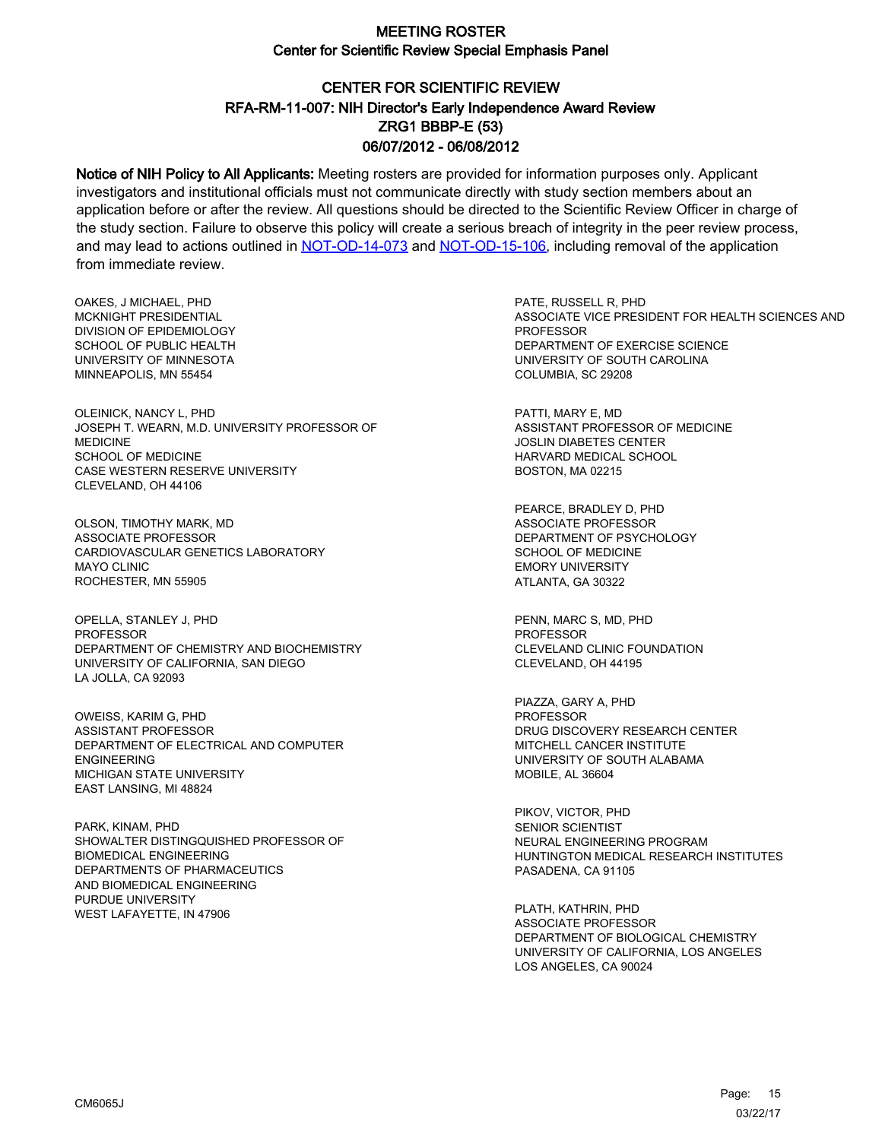# CENTER FOR SCIENTIFIC REVIEW ZRG1 BBBP-E (53) 06/07/2012 - 06/08/2012 RFA-RM-11-007: NIH Director's Early Independence Award Review

Notice of NIH Policy to All Applicants: Meeting rosters are provided for information purposes only. Applicant investigators and institutional officials must not communicate directly with study section members about an application before or after the review. All questions should be directed to the Scientific Review Officer in charge of the study section. Failure to observe this policy will create a serious breach of integrity in the peer review process, and may lead to actions outlined in [NOT-OD-14-073](https://grants.nih.gov/grants/guide/notice-files/NOT-OD-14-073.html) and [NOT-OD-15-106,](https://grants.nih.gov/grants/guide/notice-files/NOT-OD-15-106.html) including removal of the application from immediate review.

OAKES, J MICHAEL, PHD MCKNIGHT PRESIDENTIAL DIVISION OF EPIDEMIOLOGY SCHOOL OF PUBLIC HEALTH UNIVERSITY OF MINNESOTA MINNEAPOLIS, MN 55454

OLEINICK, NANCY L, PHD JOSEPH T. WEARN, M.D. UNIVERSITY PROFESSOR OF MEDICINE SCHOOL OF MEDICINE CASE WESTERN RESERVE UNIVERSITY CLEVELAND, OH 44106

OLSON, TIMOTHY MARK, MD ASSOCIATE PROFESSOR CARDIOVASCULAR GENETICS LABORATORY MAYO CLINIC ROCHESTER, MN 55905

OPELLA, STANLEY J, PHD PROFESSOR DEPARTMENT OF CHEMISTRY AND BIOCHEMISTRY UNIVERSITY OF CALIFORNIA, SAN DIEGO LA JOLLA, CA 92093

OWEISS, KARIM G, PHD ASSISTANT PROFESSOR DEPARTMENT OF ELECTRICAL AND COMPUTER ENGINEERING MICHIGAN STATE UNIVERSITY EAST LANSING, MI 48824

PARK, KINAM, PHD SHOWALTER DISTINGQUISHED PROFESSOR OF BIOMEDICAL ENGINEERING DEPARTMENTS OF PHARMACEUTICS AND BIOMEDICAL ENGINEERING PURDUE UNIVERSITY WEST LAFAYETTE, IN 47906

PATE, RUSSELL R, PHD ASSOCIATE VICE PRESIDENT FOR HEALTH SCIENCES AND **PROFESSOR** DEPARTMENT OF EXERCISE SCIENCE UNIVERSITY OF SOUTH CAROLINA COLUMBIA, SC 29208

PATTI, MARY E, MD ASSISTANT PROFESSOR OF MEDICINE JOSLIN DIABETES CENTER HARVARD MEDICAL SCHOOL BOSTON, MA 02215

PEARCE, BRADLEY D, PHD ASSOCIATE PROFESSOR DEPARTMENT OF PSYCHOLOGY SCHOOL OF MEDICINE EMORY UNIVERSITY ATLANTA, GA 30322

PENN, MARC S, MD, PHD PROFESSOR CLEVELAND CLINIC FOUNDATION CLEVELAND, OH 44195

PIAZZA, GARY A, PHD PROFESSOR DRUG DISCOVERY RESEARCH CENTER MITCHELL CANCER INSTITUTE UNIVERSITY OF SOUTH ALABAMA MOBILE, AL 36604

PIKOV, VICTOR, PHD SENIOR SCIENTIST NEURAL ENGINEERING PROGRAM HUNTINGTON MEDICAL RESEARCH INSTITUTES PASADENA, CA 91105

PLATH, KATHRIN, PHD ASSOCIATE PROFESSOR DEPARTMENT OF BIOLOGICAL CHEMISTRY UNIVERSITY OF CALIFORNIA, LOS ANGELES LOS ANGELES, CA 90024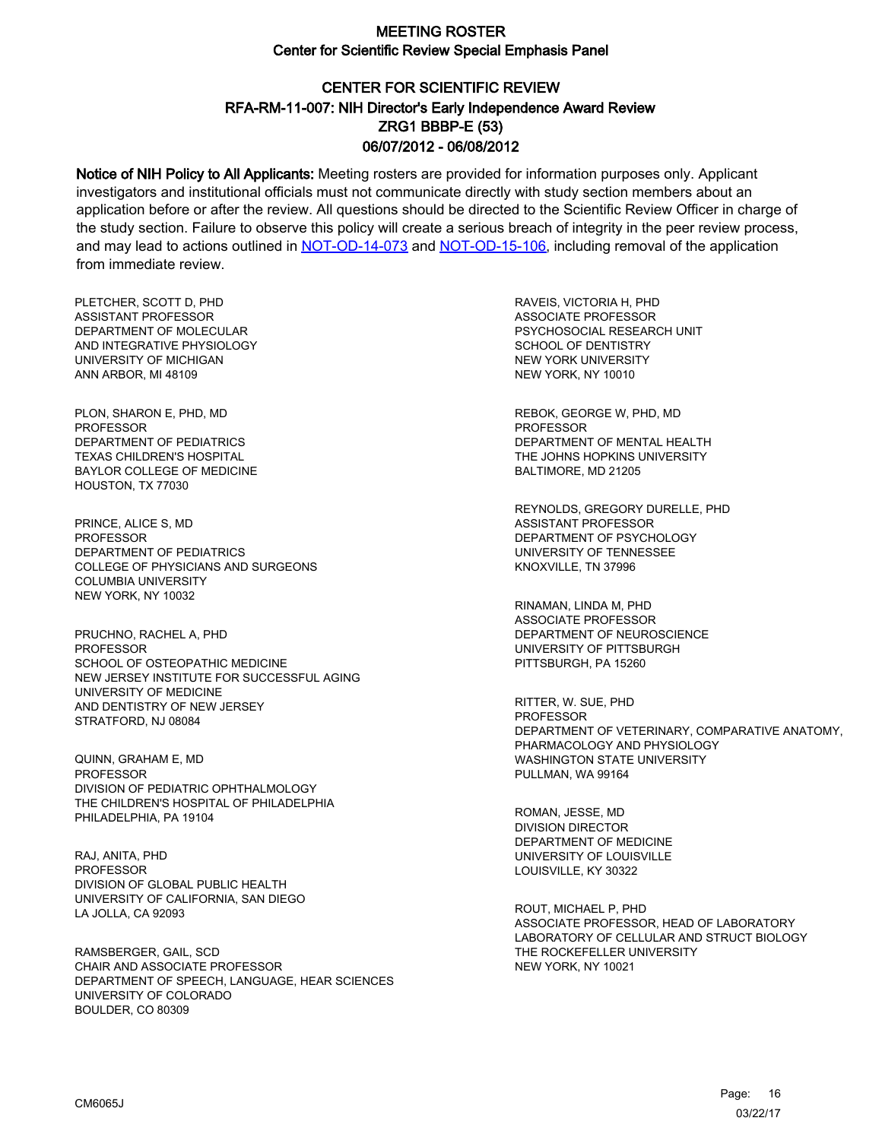# CENTER FOR SCIENTIFIC REVIEW ZRG1 BBBP-E (53) 06/07/2012 - 06/08/2012 RFA-RM-11-007: NIH Director's Early Independence Award Review

Notice of NIH Policy to All Applicants: Meeting rosters are provided for information purposes only. Applicant investigators and institutional officials must not communicate directly with study section members about an application before or after the review. All questions should be directed to the Scientific Review Officer in charge of the study section. Failure to observe this policy will create a serious breach of integrity in the peer review process, and may lead to actions outlined in [NOT-OD-14-073](https://grants.nih.gov/grants/guide/notice-files/NOT-OD-14-073.html) and [NOT-OD-15-106,](https://grants.nih.gov/grants/guide/notice-files/NOT-OD-15-106.html) including removal of the application from immediate review.

PLETCHER, SCOTT D, PHD ASSISTANT PROFESSOR DEPARTMENT OF MOLECULAR AND INTEGRATIVE PHYSIOLOGY UNIVERSITY OF MICHIGAN ANN ARBOR, MI 48109

PLON, SHARON E, PHD, MD PROFESSOR DEPARTMENT OF PEDIATRICS TEXAS CHILDREN'S HOSPITAL BAYLOR COLLEGE OF MEDICINE HOUSTON, TX 77030

PRINCE, ALICE S, MD PROFESSOR DEPARTMENT OF PEDIATRICS COLLEGE OF PHYSICIANS AND SURGEONS COLUMBIA UNIVERSITY NEW YORK, NY 10032

PRUCHNO, RACHEL A, PHD PROFESSOR SCHOOL OF OSTEOPATHIC MEDICINE NEW JERSEY INSTITUTE FOR SUCCESSFUL AGING UNIVERSITY OF MEDICINE AND DENTISTRY OF NEW JERSEY STRATFORD, NJ 08084

QUINN, GRAHAM E, MD **PROFESSOR** DIVISION OF PEDIATRIC OPHTHALMOLOGY THE CHILDREN'S HOSPITAL OF PHILADELPHIA PHILADELPHIA, PA 19104

RAJ, ANITA, PHD PROFESSOR DIVISION OF GLOBAL PUBLIC HEALTH UNIVERSITY OF CALIFORNIA, SAN DIEGO LA JOLLA, CA 92093

RAMSBERGER, GAIL, SCD CHAIR AND ASSOCIATE PROFESSOR DEPARTMENT OF SPEECH, LANGUAGE, HEAR SCIENCES UNIVERSITY OF COLORADO BOULDER, CO 80309

RAVEIS, VICTORIA H, PHD ASSOCIATE PROFESSOR PSYCHOSOCIAL RESEARCH UNIT SCHOOL OF DENTISTRY NEW YORK UNIVERSITY NEW YORK, NY 10010

REBOK, GEORGE W, PHD, MD PROFESSOR DEPARTMENT OF MENTAL HEALTH THE JOHNS HOPKINS UNIVERSITY BALTIMORE, MD 21205

REYNOLDS, GREGORY DURELLE, PHD ASSISTANT PROFESSOR DEPARTMENT OF PSYCHOLOGY UNIVERSITY OF TENNESSEE KNOXVILLE, TN 37996

RINAMAN, LINDA M, PHD ASSOCIATE PROFESSOR DEPARTMENT OF NEUROSCIENCE UNIVERSITY OF PITTSBURGH PITTSBURGH, PA 15260

RITTER, W. SUE, PHD PROFESSOR DEPARTMENT OF VETERINARY, COMPARATIVE ANATOMY, PHARMACOLOGY AND PHYSIOLOGY WASHINGTON STATE UNIVERSITY PULLMAN, WA 99164

ROMAN, JESSE, MD DIVISION DIRECTOR DEPARTMENT OF MEDICINE UNIVERSITY OF LOUISVILLE LOUISVILLE, KY 30322

ROUT, MICHAEL P, PHD ASSOCIATE PROFESSOR, HEAD OF LABORATORY LABORATORY OF CELLULAR AND STRUCT BIOLOGY THE ROCKEFELLER UNIVERSITY NEW YORK, NY 10021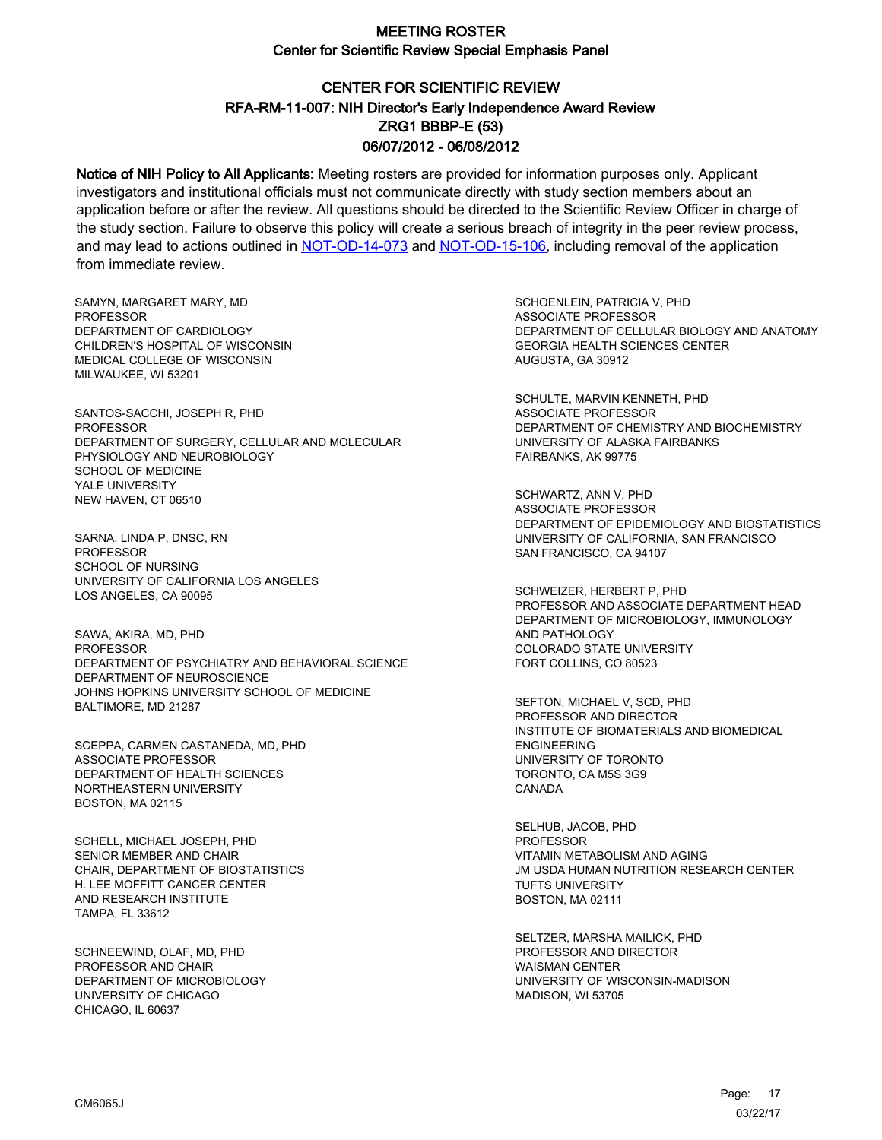# CENTER FOR SCIENTIFIC REVIEW ZRG1 BBBP-E (53) 06/07/2012 - 06/08/2012 RFA-RM-11-007: NIH Director's Early Independence Award Review

Notice of NIH Policy to All Applicants: Meeting rosters are provided for information purposes only. Applicant investigators and institutional officials must not communicate directly with study section members about an application before or after the review. All questions should be directed to the Scientific Review Officer in charge of the study section. Failure to observe this policy will create a serious breach of integrity in the peer review process, and may lead to actions outlined in [NOT-OD-14-073](https://grants.nih.gov/grants/guide/notice-files/NOT-OD-14-073.html) and [NOT-OD-15-106,](https://grants.nih.gov/grants/guide/notice-files/NOT-OD-15-106.html) including removal of the application from immediate review.

SAMYN, MARGARET MARY, MD **PROFESSOR** DEPARTMENT OF CARDIOLOGY CHILDREN'S HOSPITAL OF WISCONSIN MEDICAL COLLEGE OF WISCONSIN MILWAUKEE, WI 53201

SANTOS-SACCHI, JOSEPH R, PHD PROFESSOR DEPARTMENT OF SURGERY, CELLULAR AND MOLECULAR PHYSIOLOGY AND NEUROBIOLOGY SCHOOL OF MEDICINE YALE UNIVERSITY NEW HAVEN, CT 06510

SARNA, LINDA P, DNSC, RN PROFESSOR SCHOOL OF NURSING UNIVERSITY OF CALIFORNIA LOS ANGELES LOS ANGELES, CA 90095

SAWA, AKIRA, MD, PHD **PROFESSOR** DEPARTMENT OF PSYCHIATRY AND BEHAVIORAL SCIENCE DEPARTMENT OF NEUROSCIENCE JOHNS HOPKINS UNIVERSITY SCHOOL OF MEDICINE BALTIMORE, MD 21287

SCEPPA, CARMEN CASTANEDA, MD, PHD ASSOCIATE PROFESSOR DEPARTMENT OF HEALTH SCIENCES NORTHEASTERN UNIVERSITY BOSTON, MA 02115

SCHELL, MICHAEL JOSEPH, PHD SENIOR MEMBER AND CHAIR CHAIR, DEPARTMENT OF BIOSTATISTICS H. LEE MOFFITT CANCER CENTER AND RESEARCH INSTITUTE TAMPA, FL 33612

SCHNEEWIND, OLAF, MD, PHD PROFESSOR AND CHAIR DEPARTMENT OF MICROBIOLOGY UNIVERSITY OF CHICAGO CHICAGO, IL 60637

SCHOENLEIN, PATRICIA V, PHD ASSOCIATE PROFESSOR DEPARTMENT OF CELLULAR BIOLOGY AND ANATOMY GEORGIA HEALTH SCIENCES CENTER AUGUSTA, GA 30912

SCHULTE, MARVIN KENNETH, PHD ASSOCIATE PROFESSOR DEPARTMENT OF CHEMISTRY AND BIOCHEMISTRY UNIVERSITY OF ALASKA FAIRBANKS FAIRBANKS, AK 99775

SCHWARTZ, ANN V, PHD ASSOCIATE PROFESSOR DEPARTMENT OF EPIDEMIOLOGY AND BIOSTATISTICS UNIVERSITY OF CALIFORNIA, SAN FRANCISCO SAN FRANCISCO, CA 94107

SCHWEIZER, HERBERT P, PHD PROFESSOR AND ASSOCIATE DEPARTMENT HEAD DEPARTMENT OF MICROBIOLOGY, IMMUNOLOGY AND PATHOLOGY COLORADO STATE UNIVERSITY FORT COLLINS, CO 80523

SEFTON, MICHAEL V, SCD, PHD PROFESSOR AND DIRECTOR INSTITUTE OF BIOMATERIALS AND BIOMEDICAL ENGINEERING UNIVERSITY OF TORONTO TORONTO, CA M5S 3G9 CANADA

SELHUB, JACOB, PHD **PROFESSOR** VITAMIN METABOLISM AND AGING JM USDA HUMAN NUTRITION RESEARCH CENTER TUFTS UNIVERSITY BOSTON, MA 02111

SELTZER, MARSHA MAILICK, PHD PROFESSOR AND DIRECTOR WAISMAN CENTER UNIVERSITY OF WISCONSIN-MADISON MADISON, WI 53705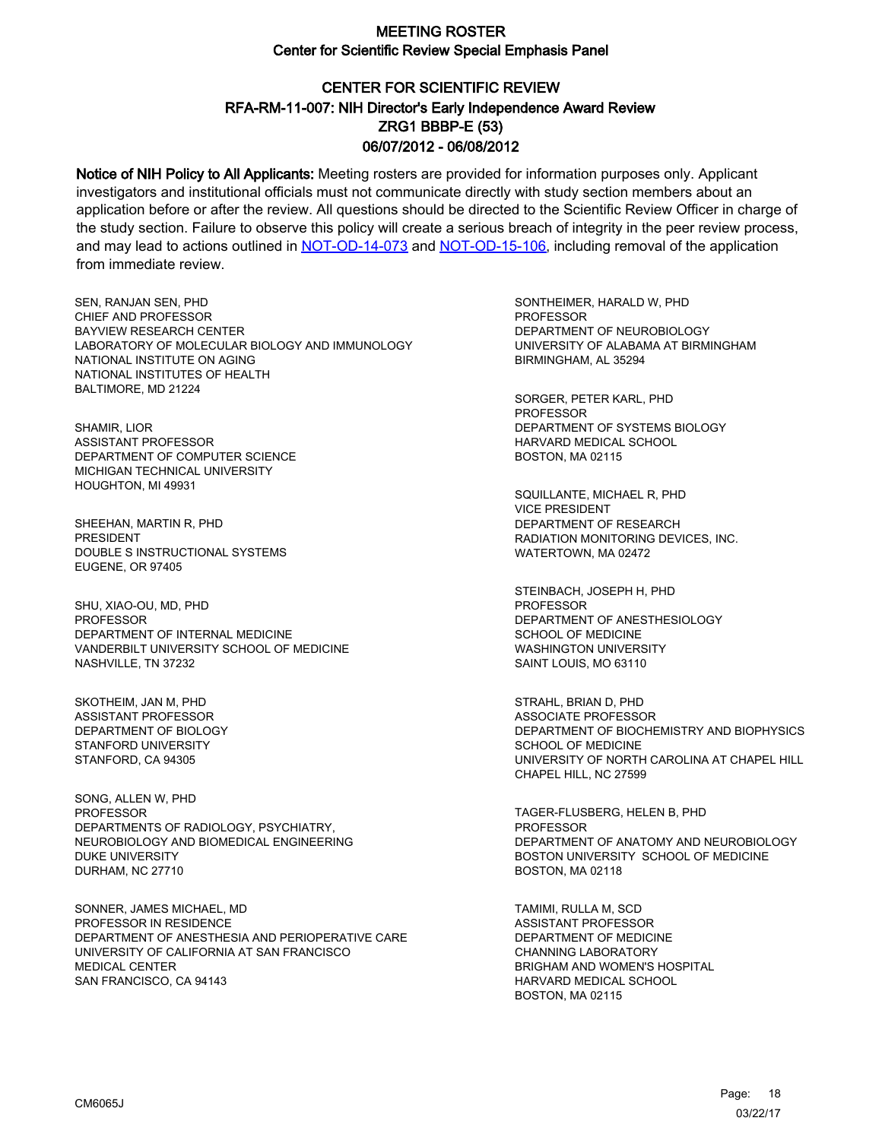# CENTER FOR SCIENTIFIC REVIEW ZRG1 BBBP-E (53) 06/07/2012 - 06/08/2012 RFA-RM-11-007: NIH Director's Early Independence Award Review

Notice of NIH Policy to All Applicants: Meeting rosters are provided for information purposes only. Applicant investigators and institutional officials must not communicate directly with study section members about an application before or after the review. All questions should be directed to the Scientific Review Officer in charge of the study section. Failure to observe this policy will create a serious breach of integrity in the peer review process, and may lead to actions outlined in [NOT-OD-14-073](https://grants.nih.gov/grants/guide/notice-files/NOT-OD-14-073.html) and [NOT-OD-15-106,](https://grants.nih.gov/grants/guide/notice-files/NOT-OD-15-106.html) including removal of the application from immediate review.

SEN, RANJAN SEN, PHD CHIEF AND PROFESSOR BAYVIEW RESEARCH CENTER LABORATORY OF MOLECULAR BIOLOGY AND IMMUNOLOGY NATIONAL INSTITUTE ON AGING NATIONAL INSTITUTES OF HEALTH BALTIMORE, MD 21224

SHAMIR, LIOR ASSISTANT PROFESSOR DEPARTMENT OF COMPUTER SCIENCE MICHIGAN TECHNICAL UNIVERSITY HOUGHTON, MI 49931

SHEEHAN, MARTIN R, PHD PRESIDENT DOUBLE S INSTRUCTIONAL SYSTEMS EUGENE, OR 97405

SHU, XIAO-OU, MD, PHD PROFESSOR DEPARTMENT OF INTERNAL MEDICINE VANDERBILT UNIVERSITY SCHOOL OF MEDICINE NASHVILLE, TN 37232

SKOTHEIM, JAN M, PHD ASSISTANT PROFESSOR DEPARTMENT OF BIOLOGY STANFORD UNIVERSITY STANFORD, CA 94305

SONG, ALLEN W, PHD PROFESSOR DEPARTMENTS OF RADIOLOGY, PSYCHIATRY, NEUROBIOLOGY AND BIOMEDICAL ENGINEERING DUKE UNIVERSITY DURHAM, NC 27710

SONNER, JAMES MICHAEL, MD PROFESSOR IN RESIDENCE DEPARTMENT OF ANESTHESIA AND PERIOPERATIVE CARE UNIVERSITY OF CALIFORNIA AT SAN FRANCISCO MEDICAL CENTER SAN FRANCISCO, CA 94143

SONTHEIMER, HARALD W, PHD **PROFESSOR** DEPARTMENT OF NEUROBIOLOGY UNIVERSITY OF ALABAMA AT BIRMINGHAM BIRMINGHAM, AL 35294

SORGER, PETER KARL, PHD PROFESSOR DEPARTMENT OF SYSTEMS BIOLOGY HARVARD MEDICAL SCHOOL BOSTON, MA 02115

SQUILLANTE, MICHAEL R, PHD VICE PRESIDENT DEPARTMENT OF RESEARCH RADIATION MONITORING DEVICES, INC. WATERTOWN, MA 02472

STEINBACH, JOSEPH H, PHD **PROFESSOR** DEPARTMENT OF ANESTHESIOLOGY SCHOOL OF MEDICINE WASHINGTON UNIVERSITY SAINT LOUIS, MO 63110

STRAHL, BRIAN D, PHD ASSOCIATE PROFESSOR DEPARTMENT OF BIOCHEMISTRY AND BIOPHYSICS SCHOOL OF MEDICINE UNIVERSITY OF NORTH CAROLINA AT CHAPEL HILL CHAPEL HILL, NC 27599

TAGER-FLUSBERG, HELEN B, PHD PROFESSOR DEPARTMENT OF ANATOMY AND NEUROBIOLOGY BOSTON UNIVERSITY SCHOOL OF MEDICINE BOSTON, MA 02118

TAMIMI, RULLA M, SCD ASSISTANT PROFESSOR DEPARTMENT OF MEDICINE CHANNING LABORATORY BRIGHAM AND WOMEN'S HOSPITAL HARVARD MEDICAL SCHOOL BOSTON, MA 02115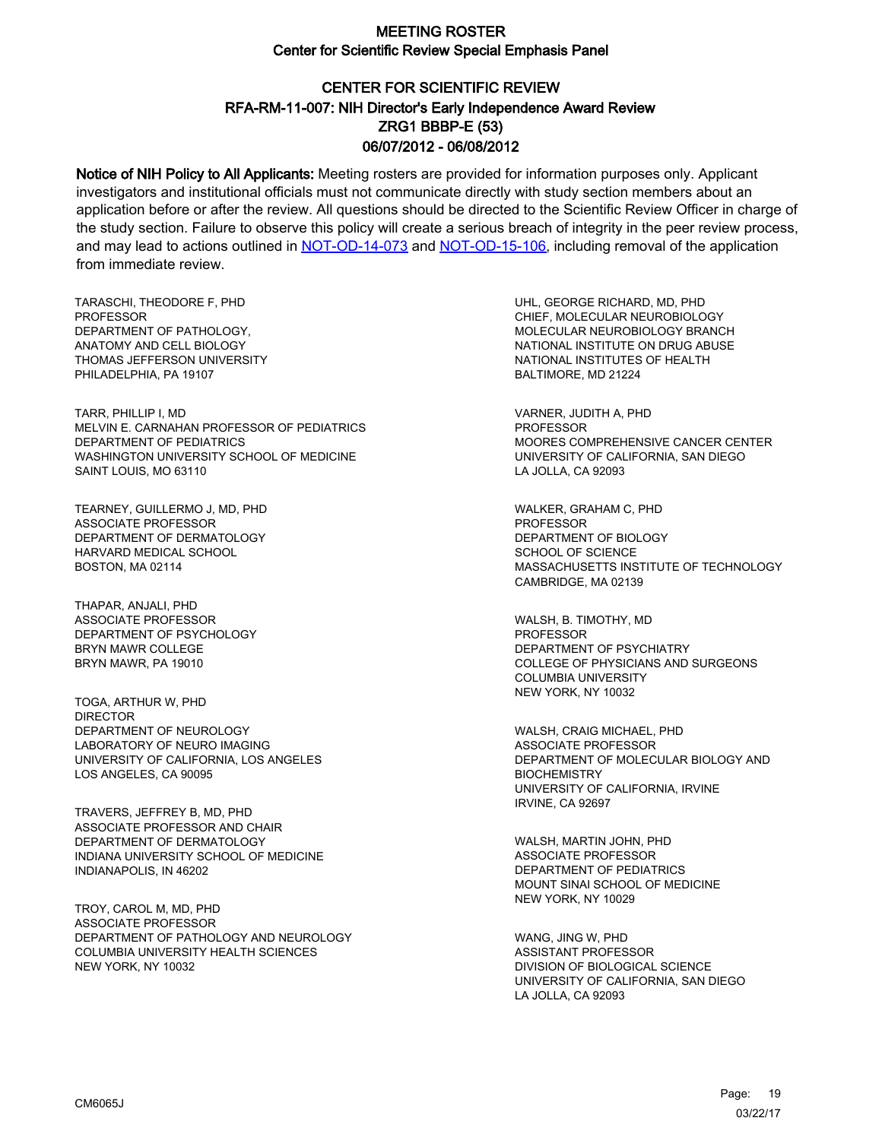# CENTER FOR SCIENTIFIC REVIEW ZRG1 BBBP-E (53) 06/07/2012 - 06/08/2012 RFA-RM-11-007: NIH Director's Early Independence Award Review

Notice of NIH Policy to All Applicants: Meeting rosters are provided for information purposes only. Applicant investigators and institutional officials must not communicate directly with study section members about an application before or after the review. All questions should be directed to the Scientific Review Officer in charge of the study section. Failure to observe this policy will create a serious breach of integrity in the peer review process, and may lead to actions outlined in [NOT-OD-14-073](https://grants.nih.gov/grants/guide/notice-files/NOT-OD-14-073.html) and [NOT-OD-15-106,](https://grants.nih.gov/grants/guide/notice-files/NOT-OD-15-106.html) including removal of the application from immediate review.

TARASCHI, THEODORE F, PHD **PROFESSOR** DEPARTMENT OF PATHOLOGY, ANATOMY AND CELL BIOLOGY THOMAS JEFFERSON UNIVERSITY PHILADELPHIA, PA 19107

TARR, PHILLIP I, MD MELVIN E. CARNAHAN PROFESSOR OF PEDIATRICS DEPARTMENT OF PEDIATRICS WASHINGTON UNIVERSITY SCHOOL OF MEDICINE SAINT LOUIS, MO 63110

TEARNEY, GUILLERMO J, MD, PHD ASSOCIATE PROFESSOR DEPARTMENT OF DERMATOLOGY HARVARD MEDICAL SCHOOL BOSTON, MA 02114

THAPAR, ANJALI, PHD ASSOCIATE PROFESSOR DEPARTMENT OF PSYCHOLOGY BRYN MAWR COLLEGE BRYN MAWR, PA 19010

TOGA, ARTHUR W, PHD DIRECTOR DEPARTMENT OF NEUROLOGY LABORATORY OF NEURO IMAGING UNIVERSITY OF CALIFORNIA, LOS ANGELES LOS ANGELES, CA 90095

TRAVERS, JEFFREY B, MD, PHD ASSOCIATE PROFESSOR AND CHAIR DEPARTMENT OF DERMATOLOGY INDIANA UNIVERSITY SCHOOL OF MEDICINE INDIANAPOLIS, IN 46202

TROY, CAROL M, MD, PHD ASSOCIATE PROFESSOR DEPARTMENT OF PATHOLOGY AND NEUROLOGY COLUMBIA UNIVERSITY HEALTH SCIENCES NEW YORK, NY 10032

UHL, GEORGE RICHARD, MD, PHD CHIEF, MOLECULAR NEUROBIOLOGY MOLECULAR NEUROBIOLOGY BRANCH NATIONAL INSTITUTE ON DRUG ABUSE NATIONAL INSTITUTES OF HEALTH BALTIMORE, MD 21224

VARNER, JUDITH A, PHD PROFESSOR MOORES COMPREHENSIVE CANCER CENTER UNIVERSITY OF CALIFORNIA, SAN DIEGO LA JOLLA, CA 92093

WALKER, GRAHAM C, PHD PROFESSOR DEPARTMENT OF BIOLOGY SCHOOL OF SCIENCE MASSACHUSETTS INSTITUTE OF TECHNOLOGY CAMBRIDGE, MA 02139

WALSH, B. TIMOTHY, MD PROFESSOR DEPARTMENT OF PSYCHIATRY COLLEGE OF PHYSICIANS AND SURGEONS COLUMBIA UNIVERSITY NEW YORK, NY 10032

WALSH, CRAIG MICHAEL, PHD ASSOCIATE PROFESSOR DEPARTMENT OF MOLECULAR BIOLOGY AND **BIOCHEMISTRY** UNIVERSITY OF CALIFORNIA, IRVINE IRVINE, CA 92697

WALSH, MARTIN JOHN, PHD ASSOCIATE PROFESSOR DEPARTMENT OF PEDIATRICS MOUNT SINAI SCHOOL OF MEDICINE NEW YORK, NY 10029

WANG, JING W, PHD ASSISTANT PROFESSOR DIVISION OF BIOLOGICAL SCIENCE UNIVERSITY OF CALIFORNIA, SAN DIEGO LA JOLLA, CA 92093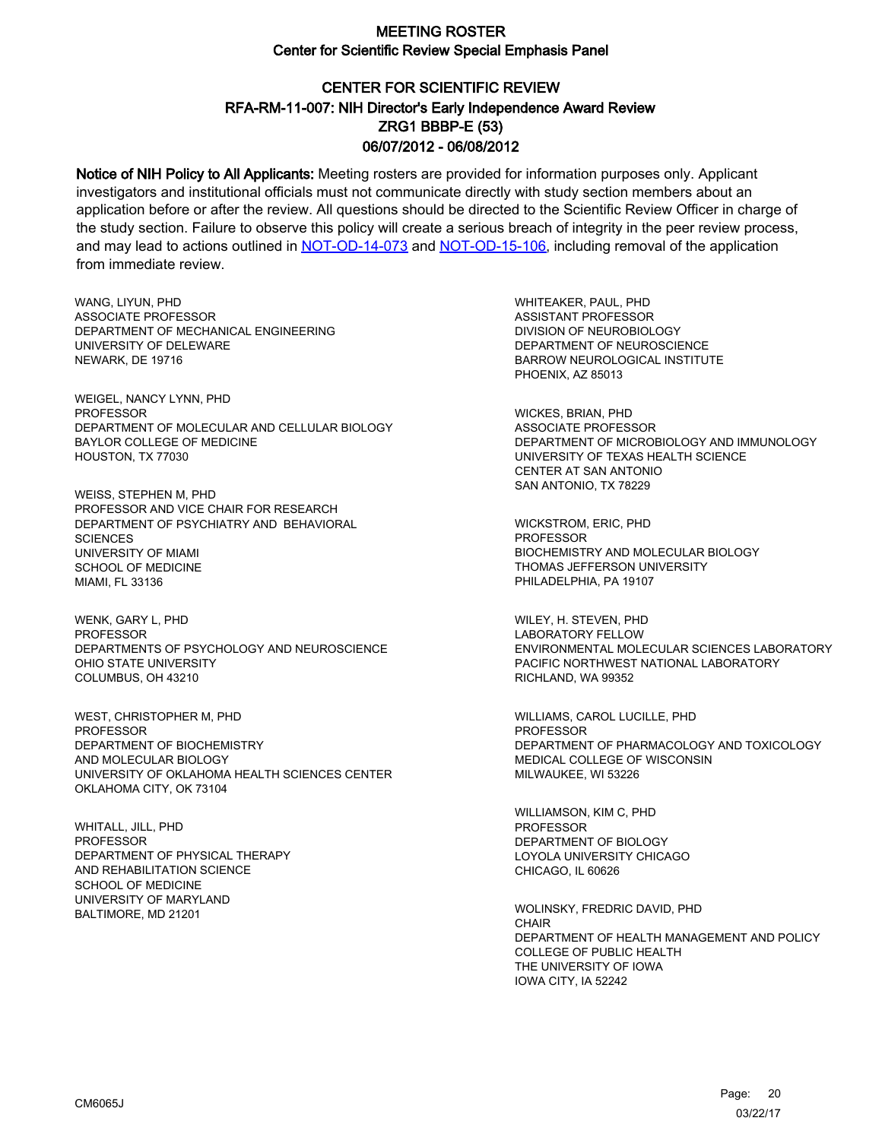# CENTER FOR SCIENTIFIC REVIEW ZRG1 BBBP-E (53) 06/07/2012 - 06/08/2012 RFA-RM-11-007: NIH Director's Early Independence Award Review

Notice of NIH Policy to All Applicants: Meeting rosters are provided for information purposes only. Applicant investigators and institutional officials must not communicate directly with study section members about an application before or after the review. All questions should be directed to the Scientific Review Officer in charge of the study section. Failure to observe this policy will create a serious breach of integrity in the peer review process, and may lead to actions outlined in [NOT-OD-14-073](https://grants.nih.gov/grants/guide/notice-files/NOT-OD-14-073.html) and [NOT-OD-15-106,](https://grants.nih.gov/grants/guide/notice-files/NOT-OD-15-106.html) including removal of the application from immediate review.

WANG, LIYUN, PHD ASSOCIATE PROFESSOR DEPARTMENT OF MECHANICAL ENGINEERING UNIVERSITY OF DELEWARE NEWARK, DE 19716

WEIGEL, NANCY LYNN, PHD PROFESSOR DEPARTMENT OF MOLECULAR AND CELLULAR BIOLOGY BAYLOR COLLEGE OF MEDICINE HOUSTON, TX 77030

WEISS, STEPHEN M, PHD PROFESSOR AND VICE CHAIR FOR RESEARCH DEPARTMENT OF PSYCHIATRY AND BEHAVIORAL **SCIENCES** UNIVERSITY OF MIAMI SCHOOL OF MEDICINE MIAMI, FL 33136

WENK, GARY L, PHD PROFESSOR DEPARTMENTS OF PSYCHOLOGY AND NEUROSCIENCE OHIO STATE UNIVERSITY COLUMBUS, OH 43210

WEST, CHRISTOPHER M, PHD PROFESSOR DEPARTMENT OF BIOCHEMISTRY AND MOLECULAR BIOLOGY UNIVERSITY OF OKLAHOMA HEALTH SCIENCES CENTER OKLAHOMA CITY, OK 73104

WHITALL, JILL, PHD **PROFESSOR** DEPARTMENT OF PHYSICAL THERAPY AND REHABILITATION SCIENCE SCHOOL OF MEDICINE UNIVERSITY OF MARYLAND BALTIMORE, MD 21201

WHITEAKER, PAUL, PHD ASSISTANT PROFESSOR DIVISION OF NEUROBIOLOGY DEPARTMENT OF NEUROSCIENCE BARROW NEUROLOGICAL INSTITUTE PHOENIX, AZ 85013

WICKES, BRIAN, PHD ASSOCIATE PROFESSOR DEPARTMENT OF MICROBIOLOGY AND IMMUNOLOGY UNIVERSITY OF TEXAS HEALTH SCIENCE CENTER AT SAN ANTONIO SAN ANTONIO, TX 78229

WICKSTROM, ERIC, PHD **PROFESSOR** BIOCHEMISTRY AND MOLECULAR BIOLOGY THOMAS JEFFERSON UNIVERSITY PHILADELPHIA, PA 19107

WILEY, H. STEVEN, PHD LABORATORY FELLOW ENVIRONMENTAL MOLECULAR SCIENCES LABORATORY PACIFIC NORTHWEST NATIONAL LABORATORY RICHLAND, WA 99352

WILLIAMS, CAROL LUCILLE, PHD PROFESSOR DEPARTMENT OF PHARMACOLOGY AND TOXICOLOGY MEDICAL COLLEGE OF WISCONSIN MILWAUKEE, WI 53226

WILLIAMSON, KIM C, PHD PROFESSOR DEPARTMENT OF BIOLOGY LOYOLA UNIVERSITY CHICAGO CHICAGO, IL 60626

WOLINSKY, FREDRIC DAVID, PHD **CHAIR** DEPARTMENT OF HEALTH MANAGEMENT AND POLICY COLLEGE OF PUBLIC HEALTH THE UNIVERSITY OF IOWA IOWA CITY, IA 52242